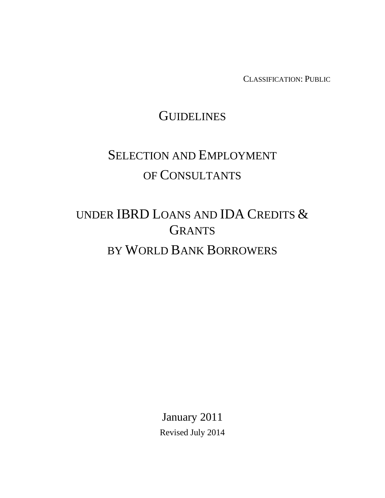CLASSIFICATION: PUBLIC

# **GUIDELINES**

# SELECTION AND EMPLOYMENT OF CONSULTANTS

# UNDER IBRD LOANS AND IDA CREDITS & **GRANTS** BY WORLD BANK BORROWERS

January 2011 Revised July 2014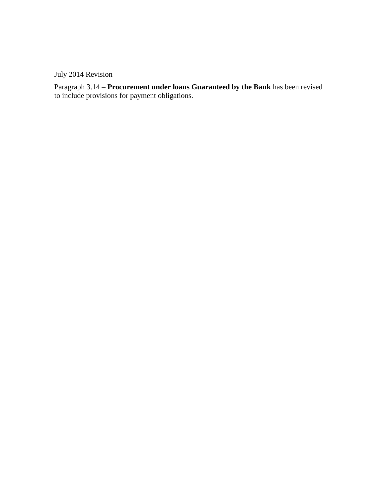July 2014 Revision

Paragraph 3.14 – **Procurement under loans Guaranteed by the Bank** has been revised to include provisions for payment obligations.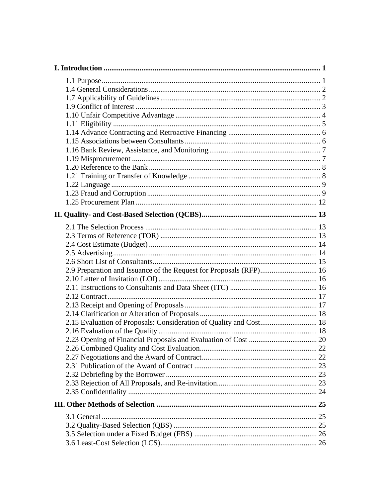| 2.9 Preparation and Issuance of the Request for Proposals (RFP) 16 |  |
|--------------------------------------------------------------------|--|
|                                                                    |  |
|                                                                    |  |
|                                                                    |  |
|                                                                    |  |
|                                                                    |  |
| 2.15 Evaluation of Proposals: Consideration of Quality and Cost 18 |  |
|                                                                    |  |
|                                                                    |  |
|                                                                    |  |
|                                                                    |  |
|                                                                    |  |
|                                                                    |  |
|                                                                    |  |
|                                                                    |  |
|                                                                    |  |
|                                                                    |  |
|                                                                    |  |
|                                                                    |  |
|                                                                    |  |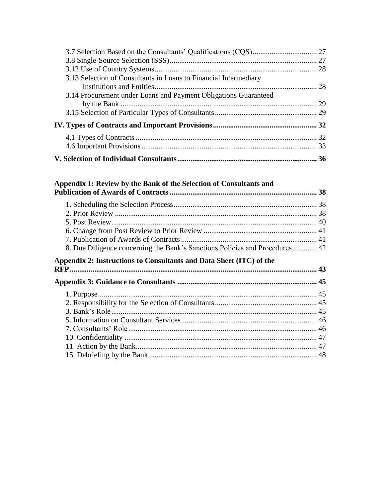| 3.13 Selection of Consultants in Loans to Financial Intermediary |  |
|------------------------------------------------------------------|--|
|                                                                  |  |
| 3.14 Procurement under Loans and Payment Obligations Guaranteed  |  |
|                                                                  |  |
|                                                                  |  |
|                                                                  |  |
|                                                                  |  |
|                                                                  |  |
|                                                                  |  |

# 

| 8. Due Diligence concerning the Bank's Sanctions Policies and Procedures 42 |  |
|-----------------------------------------------------------------------------|--|
| Appendix 2: Instructions to Consultants and Data Sheet (ITC) of the         |  |
|                                                                             |  |
|                                                                             |  |
|                                                                             |  |
|                                                                             |  |
|                                                                             |  |
|                                                                             |  |
|                                                                             |  |
|                                                                             |  |
|                                                                             |  |
|                                                                             |  |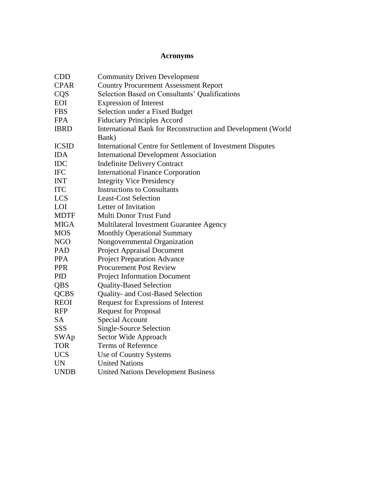### **Acronyms**

| <b>CDD</b>   | <b>Community Driven Development</b>                          |
|--------------|--------------------------------------------------------------|
| <b>CPAR</b>  | <b>Country Procurement Assessment Report</b>                 |
| CQS          | Selection Based on Consultants' Qualifications               |
| EOI          | <b>Expression of Interest</b>                                |
| <b>FBS</b>   | Selection under a Fixed Budget                               |
| <b>FPA</b>   | <b>Fiduciary Principles Accord</b>                           |
| <b>IBRD</b>  | International Bank for Reconstruction and Development (World |
|              | Bank)                                                        |
| <b>ICSID</b> | International Centre for Settlement of Investment Disputes   |
| <b>IDA</b>   | <b>International Development Association</b>                 |
| <b>IDC</b>   | <b>Indefinite Delivery Contract</b>                          |
| <b>IFC</b>   | <b>International Finance Corporation</b>                     |
| <b>INT</b>   | <b>Integrity Vice Presidency</b>                             |
| <b>ITC</b>   | <b>Instructions to Consultants</b>                           |
| <b>LCS</b>   | <b>Least-Cost Selection</b>                                  |
| LOI          | Letter of Invitation                                         |
| <b>MDTF</b>  | Multi Donor Trust Fund                                       |
| <b>MIGA</b>  | Multilateral Investment Guarantee Agency                     |
| <b>MOS</b>   | <b>Monthly Operational Summary</b>                           |
| <b>NGO</b>   | Nongovernmental Organization                                 |
| PAD          | <b>Project Appraisal Document</b>                            |
| <b>PPA</b>   | <b>Project Preparation Advance</b>                           |
| <b>PPR</b>   | <b>Procurement Post Review</b>                               |
| PID          | <b>Project Information Document</b>                          |
| QBS          | <b>Quality-Based Selection</b>                               |
| <b>QCBS</b>  | Quality- and Cost-Based Selection                            |
| <b>REOI</b>  | Request for Expressions of Interest                          |
| <b>RFP</b>   | <b>Request for Proposal</b>                                  |
| <b>SA</b>    | Special Account                                              |
| SSS          | Single-Source Selection                                      |
| <b>SWAp</b>  | Sector Wide Approach                                         |
| <b>TOR</b>   | <b>Terms of Reference</b>                                    |
| <b>UCS</b>   | Use of Country Systems                                       |
| <b>UN</b>    | <b>United Nations</b>                                        |
| <b>UNDB</b>  | <b>United Nations Development Business</b>                   |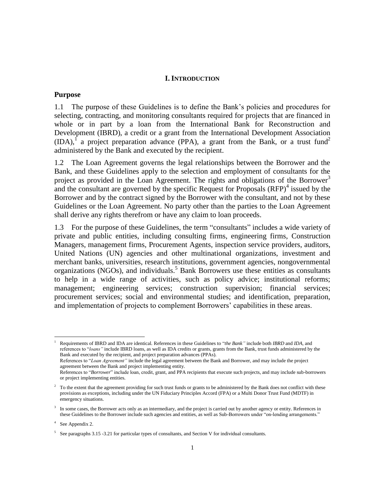#### **I. INTRODUCTION**

#### <span id="page-5-1"></span><span id="page-5-0"></span>**Purpose**

1.1 The purpose of these Guidelines is to define the Bank's policies and procedures for selecting, contracting, and monitoring consultants required for projects that are financed in whole or in part by a loan from the International Bank for Reconstruction and Development (IBRD), a credit or a grant from the International Development Association  $(IDA)$ , a project preparation advance (PPA), a grant from the Bank, or a trust fund<sup>2</sup> administered by the Bank and executed by the recipient.

1.2 The Loan Agreement governs the legal relationships between the Borrower and the Bank, and these Guidelines apply to the selection and employment of consultants for the project as provided in the Loan Agreement. The rights and obligations of the Borrower<sup>3</sup> and the consultant are governed by the specific Request for Proposals  $(RFP)<sup>4</sup>$  issued by the Borrower and by the contract signed by the Borrower with the consultant, and not by these Guidelines or the Loan Agreement. No party other than the parties to the Loan Agreement shall derive any rights therefrom or have any claim to loan proceeds.

1.3 For the purpose of these Guidelines, the term "consultants" includes a wide variety of private and public entities, including consulting firms, engineering firms, Construction Managers, management firms, Procurement Agents, inspection service providers, auditors, United Nations (UN) agencies and other multinational organizations, investment and merchant banks, universities, research institutions, government agencies, nongovernmental organizations (NGOs), and individuals. <sup>5</sup> Bank Borrowers use these entities as consultants to help in a wide range of activities, such as policy advice; institutional reforms; management; engineering services; construction supervision; financial services; procurement services; social and environmental studies; and identification, preparation, and implementation of projects to complement Borrowers' capabilities in these areas.

<sup>1</sup> Requirements of IBRD and IDA are identical. References in these Guidelines to "*the Bank"* include both *IBRD* and *IDA*, and references to "*loans"* include IBRD loans, as well as IDA credits or grants, grants from the Bank, trust funds administered by the Bank and executed by the recipient, and project preparation advances (PPAs).

References to "*Loan Agreement"* include the legal agreement between the Bank and Borrower, and may include the project agreement between the Bank and project implementing entity.

References to "*Borrower*" include loan, credit, grant, and PPA recipients that execute such projects, and may include sub-borrowers or project implementing entities.

<sup>&</sup>lt;sup>2</sup> To the extent that the agreement providing for such trust funds or grants to be administered by the Bank does not conflict with these provisions as exceptions, including under the UN Fiduciary Principles Accord (FPA) or a Multi Donor Trust Fund (MDTF) in emergency situations.

<sup>&</sup>lt;sup>3</sup> In some cases, the Borrower acts only as an intermediary, and the project is carried out by another agency or entity. References in these Guidelines to the Borrower include such agencies and entities, as well as Sub-Borrowers under "on-lending arrangements."

<sup>4</sup> See Appendix 2.

<sup>&</sup>lt;sup>5</sup> See paragraphs 3.15 -3.21 for particular types of consultants, and Section V for individual consultants.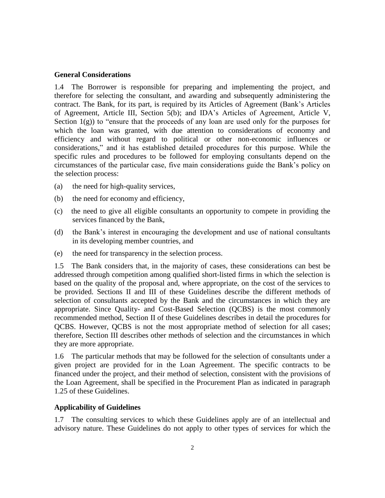#### <span id="page-6-0"></span>**General Considerations**

1.4 The Borrower is responsible for preparing and implementing the project, and therefore for selecting the consultant, and awarding and subsequently administering the contract. The Bank, for its part, is required by its Articles of Agreement (Bank's Articles of Agreement, Article III, Section 5(b); and IDA's Articles of Agreement, Article V, Section  $1(g)$ ) to "ensure that the proceeds of any loan are used only for the purposes for which the loan was granted, with due attention to considerations of economy and efficiency and without regard to political or other non-economic influences or considerations," and it has established detailed procedures for this purpose. While the specific rules and procedures to be followed for employing consultants depend on the circumstances of the particular case, five main considerations guide the Bank's policy on the selection process:

- (a) the need for high-quality services,
- (b) the need for economy and efficiency,
- (c) the need to give all eligible consultants an opportunity to compete in providing the services financed by the Bank,
- (d) the Bank's interest in encouraging the development and use of national consultants in its developing member countries, and
- (e) the need for transparency in the selection process.

1.5 The Bank considers that, in the majority of cases, these considerations can best be addressed through competition among qualified short-listed firms in which the selection is based on the quality of the proposal and, where appropriate, on the cost of the services to be provided. Sections II and III of these Guidelines describe the different methods of selection of consultants accepted by the Bank and the circumstances in which they are appropriate. Since Quality- and Cost-Based Selection (QCBS) is the most commonly recommended method, Section II of these Guidelines describes in detail the procedures for QCBS. However, QCBS is not the most appropriate method of selection for all cases; therefore, Section III describes other methods of selection and the circumstances in which they are more appropriate.

1.6 The particular methods that may be followed for the selection of consultants under a given project are provided for in the Loan Agreement. The specific contracts to be financed under the project, and their method of selection, consistent with the provisions of the Loan Agreement, shall be specified in the Procurement Plan as indicated in paragraph 1.25 of these Guidelines.

#### <span id="page-6-1"></span>**Applicability of Guidelines**

1.7 The consulting services to which these Guidelines apply are of an intellectual and advisory nature. These Guidelines do not apply to other types of services for which the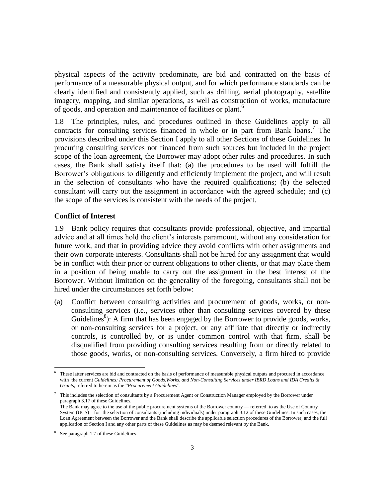physical aspects of the activity predominate, are bid and contracted on the basis of performance of a measurable physical output, and for which performance standards can be clearly identified and consistently applied, such as drilling, aerial photography, satellite imagery, mapping, and similar operations, as well as construction of works, manufacture of goods, and operation and maintenance of facilities or plant. 6

1.8 The principles, rules, and procedures outlined in these Guidelines apply to all contracts for consulting services financed in whole or in part from Bank loans.<sup>7</sup> The provisions described under this Section I apply to all other Sections of these Guidelines. In procuring consulting services not financed from such sources but included in the project scope of the loan agreement, the Borrower may adopt other rules and procedures. In such cases, the Bank shall satisfy itself that: (a) the procedures to be used will fulfill the Borrower's obligations to diligently and efficiently implement the project, and will result in the selection of consultants who have the required qualifications; (b) the selected consultant will carry out the assignment in accordance with the agreed schedule; and (c) the scope of the services is consistent with the needs of the project.

#### <span id="page-7-0"></span>**Conflict of Interest**

1.9 Bank policy requires that consultants provide professional, objective, and impartial advice and at all times hold the client's interests paramount, without any consideration for future work, and that in providing advice they avoid conflicts with other assignments and their own corporate interests. Consultants shall not be hired for any assignment that would be in conflict with their prior or current obligations to other clients, or that may place them in a position of being unable to carry out the assignment in the best interest of the Borrower. Without limitation on the generality of the foregoing, consultants shall not be hired under the circumstances set forth below:

(a) Conflict between consulting activities and procurement of goods, works, or nonconsulting services (i.e., services other than consulting services covered by these Guidelines<sup>8</sup>): A firm that has been engaged by the Borrower to provide goods, works, or non-consulting services for a project, or any affiliate that directly or indirectly controls, is controlled by, or is under common control with that firm, shall be disqualified from providing consulting services resulting from or directly related to those goods, works, or non-consulting services. Conversely, a firm hired to provide

These latter services are bid and contracted on the basis of performance of measurable physical outputs and procured in accordance with the current *Guidelines: Procurement of Goods,Works, and Non-Consulting Services under IBRD Loans and IDA Credits & Grants*, referred to herein as the "*Procurement Guidelines*".

 $\frac{7}{10}$  This includes the selection of consultants by a Procurement Agent or Construction Manager employed by the Borrower under paragraph 3.17 of these Guidelines.

The Bank may agree to the use of the public procurement systems of the Borrower country — referred to as the Use of Country System (UCS)—for the selection of consultants (including individuals) under paragraph 3.12 of these Guidelines. In such cases, the Loan Agreement between the Borrower and the Bank shall describe the applicable selection procedures of the Borrower, and the full application of Section I and any other parts of these Guidelines as may be deemed relevant by the Bank.

<sup>8</sup> See paragraph 1.7 of these Guidelines.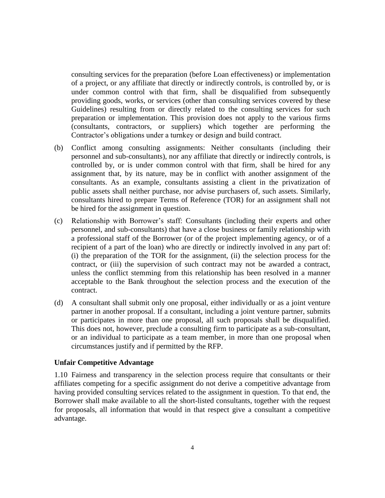consulting services for the preparation (before Loan effectiveness) or implementation of a project, or any affiliate that directly or indirectly controls, is controlled by, or is under common control with that firm, shall be disqualified from subsequently providing goods, works, or services (other than consulting services covered by these Guidelines) resulting from or directly related to the consulting services for such preparation or implementation. This provision does not apply to the various firms (consultants, contractors, or suppliers) which together are performing the Contractor's obligations under a turnkey or design and build contract.

- (b) Conflict among consulting assignments: Neither consultants (including their personnel and sub-consultants), nor any affiliate that directly or indirectly controls, is controlled by, or is under common control with that firm, shall be hired for any assignment that, by its nature, may be in conflict with another assignment of the consultants. As an example, consultants assisting a client in the privatization of public assets shall neither purchase, nor advise purchasers of, such assets. Similarly, consultants hired to prepare Terms of Reference (TOR) for an assignment shall not be hired for the assignment in question.
- (c) Relationship with Borrower's staff: Consultants (including their experts and other personnel, and sub-consultants) that have a close business or family relationship with a professional staff of the Borrower (or of the project implementing agency, or of a recipient of a part of the loan) who are directly or indirectly involved in any part of: (i) the preparation of the TOR for the assignment, (ii) the selection process for the contract, or (iii) the supervision of such contract may not be awarded a contract, unless the conflict stemming from this relationship has been resolved in a manner acceptable to the Bank throughout the selection process and the execution of the contract.
- (d) A consultant shall submit only one proposal, either individually or as a joint venture partner in another proposal. If a consultant, including a joint venture partner, submits or participates in more than one proposal, all such proposals shall be disqualified. This does not, however, preclude a consulting firm to participate as a sub-consultant, or an individual to participate as a team member, in more than one proposal when circumstances justify and if permitted by the RFP.

#### <span id="page-8-0"></span>**Unfair Competitive Advantage**

1.10 Fairness and transparency in the selection process require that consultants or their affiliates competing for a specific assignment do not derive a competitive advantage from having provided consulting services related to the assignment in question. To that end, the Borrower shall make available to all the short-listed consultants, together with the request for proposals, all information that would in that respect give a consultant a competitive advantage.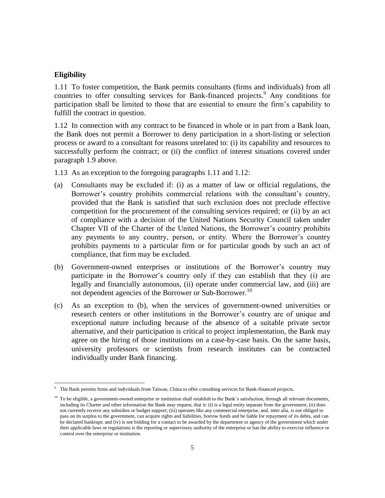#### <span id="page-9-0"></span>**Eligibility**

 $\overline{a}$ 

1.11 To foster competition, the Bank permits consultants (firms and individuals) from all countries to offer consulting services for Bank-financed projects. <sup>9</sup> Any conditions for participation shall be limited to those that are essential to ensure the firm's capability to fulfill the contract in question.

1.12 In connection with any contract to be financed in whole or in part from a Bank loan, the Bank does not permit a Borrower to deny participation in a short-listing or selection process or award to a consultant for reasons unrelated to: (i) its capability and resources to successfully perform the contract; or (ii) the conflict of interest situations covered under paragraph 1.9 above.

- 1.13 As an exception to the foregoing paragraphs 1.11 and 1.12:
- (a) Consultants may be excluded if: (i) as a matter of law or official regulations, the Borrower's country prohibits commercial relations with the consultant's country, provided that the Bank is satisfied that such exclusion does not preclude effective competition for the procurement of the consulting services required; or (ii) by an act of compliance with a decision of the United Nations Security Council taken under Chapter VII of the Charter of the United Nations, the Borrower's country prohibits any payments to any country, person, or entity. Where the Borrower's country prohibits payments to a particular firm or for particular goods by such an act of compliance, that firm may be excluded.
- (b) Government-owned enterprises or institutions of the Borrower's country may participate in the Borrower's country only if they can establish that they (i) are legally and financially autonomous, (ii) operate under commercial law, and (iii) are not dependent agencies of the Borrower or Sub-Borrower.<sup>10</sup>
- (c) As an exception to (b), when the services of government-owned universities or research centers or other institutions in the Borrower's country are of unique and exceptional nature including because of the absence of a suitable private sector alternative, and their participation is critical to project implementation, the Bank may agree on the hiring of those institutions on a case-by-case basis. On the same basis, university professors or scientists from research institutes can be contracted individually under Bank financing.

<sup>&</sup>lt;sup>9</sup> The Bank permits firms and individuals from Taiwan, China to offer consulting services for Bank-financed projects.

 $10\,$  To be eligible, a government-owned enterprise or institution shall establish to the Bank's satisfaction, through all relevant documents, including its Charter and other information the Bank may request, that it: (i) is a legal entity separate from the government; (ii) does not currently receive any subsidies or budget support; (iii) operates like any commercial enterprise, and, inter alia, is not obliged to pass on its surplus to the government, can acquire rights and liabilities, borrow funds and be liable for repayment of its debts, and can be declared bankrupt; and (iv) is not bidding for a contact to be awarded by the department or agency of the government which under their applicable laws or regulations is the reporting or supervisory authority of the enterprise or has the ability to exercise influence or control over the enterprise or institution.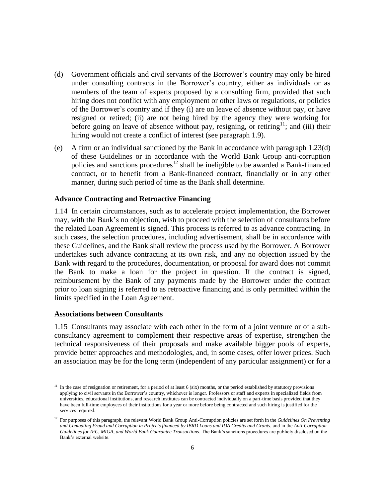- (d) Government officials and civil servants of the Borrower's country may only be hired under consulting contracts in the Borrower's country, either as individuals or as members of the team of experts proposed by a consulting firm, provided that such hiring does not conflict with any employment or other laws or regulations, or policies of the Borrower's country and if they (i) are on leave of absence without pay, or have resigned or retired; (ii) are not being hired by the agency they were working for before going on leave of absence without pay, resigning, or retiring<sup>11</sup>; and (iii) their hiring would not create a conflict of interest (see paragraph 1.9).
- (e) A firm or an individual sanctioned by the Bank in accordance with paragraph 1.23(d) of these Guidelines or in accordance with the World Bank Group anti-corruption policies and sanctions procedures<sup>12</sup> shall be ineligible to be awarded a Bank-financed contract, or to benefit from a Bank-financed contract, financially or in any other manner, during such period of time as the Bank shall determine.

#### <span id="page-10-0"></span>**Advance Contracting and Retroactive Financing**

1.14 In certain circumstances, such as to accelerate project implementation, the Borrower may, with the Bank's no objection, wish to proceed with the selection of consultants before the related Loan Agreement is signed. This process is referred to as advance contracting. In such cases, the selection procedures, including advertisement, shall be in accordance with these Guidelines, and the Bank shall review the process used by the Borrower. A Borrower undertakes such advance contracting at its own risk, and any no objection issued by the Bank with regard to the procedures, documentation, or proposal for award does not commit the Bank to make a loan for the project in question. If the contract is signed, reimbursement by the Bank of any payments made by the Borrower under the contract prior to loan signing is referred to as retroactive financing and is only permitted within the limits specified in the Loan Agreement.

#### <span id="page-10-1"></span>**Associations between Consultants**

 $\overline{a}$ 

1.15 Consultants may associate with each other in the form of a joint venture or of a subconsultancy agreement to complement their respective areas of expertise, strengthen the technical responsiveness of their proposals and make available bigger pools of experts, provide better approaches and methodologies, and, in some cases, offer lower prices. Such an association may be for the long term (independent of any particular assignment) or for a

<sup>&</sup>lt;sup>11</sup> In the case of resignation or retirement, for a period of at least  $6$  (six) months, or the period established by statutory provisions applying to civil servants in the Borrower's country, whichever is longer. Professors or staff and experts in specialized fields from universities, educational institutions, and research institutes can be contracted individually on a part-time basis provided that they have been full-time employees of their institutions for a year or more before being contracted and such hiring is justified for the services required.

<sup>&</sup>lt;sup>12</sup> For purposes of this paragraph, the relevant World Bank Group Anti-Corruption policies are set forth in the *Guidelines On Preventing and Combating Fraud and Corruption in Projects financed by IBRD Loans and IDA Credits and Grants*, and in the *Anti-Corruption Guidelines for IFC, MIGA, and World Bank Guarantee Transactions*. The Bank's sanctions procedures are publicly disclosed on the Bank's external website.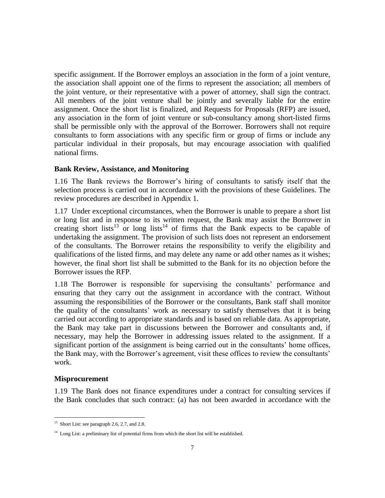specific assignment. If the Borrower employs an association in the form of a joint venture, the association shall appoint one of the firms to represent the association; all members of the joint venture, or their representative with a power of attorney, shall sign the contract. All members of the joint venture shall be jointly and severally liable for the entire assignment. Once the short list is finalized, and Requests for Proposals (RFP) are issued, any association in the form of joint venture or sub-consultancy among short-listed firms shall be permissible only with the approval of the Borrower. Borrowers shall not require consultants to form associations with any specific firm or group of firms or include any particular individual in their proposals, but may encourage association with qualified national firms.

#### <span id="page-11-0"></span>**Bank Review, Assistance, and Monitoring**

1.16 The Bank reviews the Borrower's hiring of consultants to satisfy itself that the selection process is carried out in accordance with the provisions of these Guidelines. The review procedures are described in Appendix 1.

1.17 Under exceptional circumstances, when the Borrower is unable to prepare a short list or long list and in response to its written request, the Bank may assist the Borrower in creating short lists<sup>13</sup> or long lists<sup>14</sup> of firms that the Bank expects to be capable of undertaking the assignment. The provision of such lists does not represent an endorsement of the consultants. The Borrower retains the responsibility to verify the eligibility and qualifications of the listed firms, and may delete any name or add other names as it wishes; however, the final short list shall be submitted to the Bank for its no objection before the Borrower issues the RFP.

1.18 The Borrower is responsible for supervising the consultants' performance and ensuring that they carry out the assignment in accordance with the contract. Without assuming the responsibilities of the Borrower or the consultants, Bank staff shall monitor the quality of the consultants' work as necessary to satisfy themselves that it is being carried out according to appropriate standards and is based on reliable data. As appropriate, the Bank may take part in discussions between the Borrower and consultants and, if necessary, may help the Borrower in addressing issues related to the assignment. If a significant portion of the assignment is being carried out in the consultants' home offices, the Bank may, with the Borrower's agreement, visit these offices to review the consultants' work.

#### <span id="page-11-1"></span>**Misprocurement**

 $\overline{a}$ 

1.19 The Bank does not finance expenditures under a contract for consulting services if the Bank concludes that such contract: (a) has not been awarded in accordance with the

<sup>&</sup>lt;sup>13</sup> Short List: see paragraph 2.6, 2.7, and 2.8.

<sup>&</sup>lt;sup>14</sup> Long List: a preliminary list of potential firms from which the short list will be established.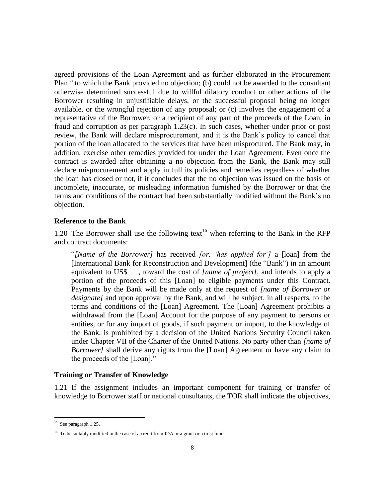agreed provisions of the Loan Agreement and as further elaborated in the Procurement  $Plan<sup>15</sup>$  to which the Bank provided no objection; (b) could not be awarded to the consultant otherwise determined successful due to willful dilatory conduct or other actions of the Borrower resulting in unjustifiable delays, or the successful proposal being no longer available, or the wrongful rejection of any proposal; or (c) involves the engagement of a representative of the Borrower, or a recipient of any part of the proceeds of the Loan, in fraud and corruption as per paragraph 1.23(c). In such cases, whether under prior or post review, the Bank will declare misprocurement, and it is the Bank's policy to cancel that portion of the loan allocated to the services that have been misprocured. The Bank may, in addition, exercise other remedies provided for under the Loan Agreement. Even once the contract is awarded after obtaining a no objection from the Bank, the Bank may still declare misprocurement and apply in full its policies and remedies regardless of whether the loan has closed or not, if it concludes that the no objection was issued on the basis of incomplete, inaccurate, or misleading information furnished by the Borrower or that the terms and conditions of the contract had been substantially modified without the Bank's no objection.

#### <span id="page-12-0"></span>**Reference to the Bank**

1.20 The Borrower shall use the following text<sup>16</sup> when referring to the Bank in the RFP and contract documents:

"*[Name of the Borrower]* has received *[or, 'has applied for']* a [loan] from the [International Bank for Reconstruction and Development] (the "Bank") in an amount equivalent to US\$\_\_\_, toward the cost of *[name of project]*, and intends to apply a portion of the proceeds of this [Loan] to eligible payments under this Contract. Payments by the Bank will be made only at the request of *[name of Borrower or designate]* and upon approval by the Bank, and will be subject, in all respects, to the terms and conditions of the [Loan] Agreement. The [Loan] Agreement prohibits a withdrawal from the [Loan] Account for the purpose of any payment to persons or entities, or for any import of goods, if such payment or import, to the knowledge of the Bank, is prohibited by a decision of the United Nations Security Council taken under Chapter VII of the Charter of the United Nations. No party other than *[name of Borrower]* shall derive any rights from the [Loan] Agreement or have any claim to the proceeds of the [Loan]."

#### <span id="page-12-1"></span>**Training or Transfer of Knowledge**

1.21 If the assignment includes an important component for training or transfer of knowledge to Borrower staff or national consultants, the TOR shall indicate the objectives,

<sup>&</sup>lt;sup>15</sup> See paragraph 1.25.

<sup>&</sup>lt;sup>16</sup> To be suitably modified in the case of a credit from IDA or a grant or a trust fund.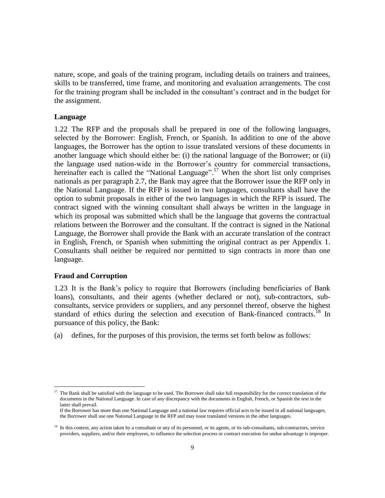nature, scope, and goals of the training program, including details on trainers and trainees, skills to be transferred, time frame, and monitoring and evaluation arrangements. The cost for the training program shall be included in the consultant's contract and in the budget for the assignment.

#### <span id="page-13-0"></span>**Language**

1.22 The RFP and the proposals shall be prepared in one of the following languages, selected by the Borrower: English, French, or Spanish. In addition to one of the above languages, the Borrower has the option to issue translated versions of these documents in another language which should either be: (i) the national language of the Borrower; or (ii) the language used nation-wide in the Borrower's country for commercial transactions, hereinafter each is called the "National Language".<sup>17</sup> When the short list only comprises nationals as per paragraph 2.7, the Bank may agree that the Borrower issue the RFP only in the National Language. If the RFP is issued in two languages, consultants shall have the option to submit proposals in either of the two languages in which the RFP is issued. The contract signed with the winning consultant shall always be written in the language in which its proposal was submitted which shall be the language that governs the contractual relations between the Borrower and the consultant. If the contract is signed in the National Language, the Borrower shall provide the Bank with an accurate translation of the contract in English, French, or Spanish when submitting the original contract as per Appendix 1. Consultants shall neither be required nor permitted to sign contracts in more than one language.

#### <span id="page-13-1"></span>**Fraud and Corruption**

 $\overline{a}$ 

1.23 It is the Bank's policy to require that Borrowers (including beneficiaries of Bank loans), consultants, and their agents (whether declared or not), sub-contractors, subconsultants, service providers or suppliers, and any personnel thereof, observe the highest standard of ethics during the selection and execution of Bank-financed contracts.<sup>18</sup> In pursuance of this policy, the Bank:

(a) defines, for the purposes of this provision, the terms set forth below as follows:

<sup>&</sup>lt;sup>17</sup> The Bank shall be satisfied with the language to be used. The Borrower shall take full responsibility for the correct translation of the documents in the National Language. In case of any discrepancy with the documents in English, French, or Spanish the text in the latter shall prevail.

If the Borrower has more than one National Language and a national law requires official acts to be issued in all national languages, the Borrower shall use one National Language in the RFP and may issue translated versions in the other languages.

<sup>&</sup>lt;sup>18</sup> In this context, any action taken by a consultant or any of its personnel, or its agents, or its sub-consultants, sub-contractors, service providers, suppliers, and/or their employees, to influence the selection process or contract execution for undue advantage is improper.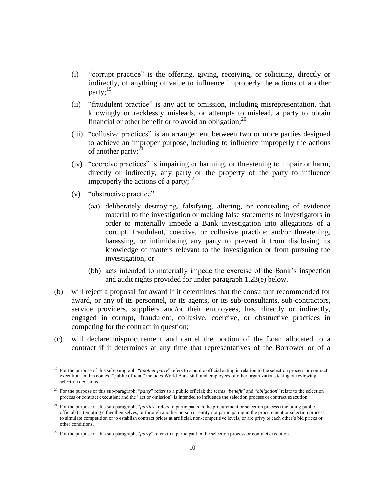- (i) "corrupt practice" is the offering, giving, receiving, or soliciting, directly or indirectly, of anything of value to influence improperly the actions of another party;<sup>19</sup>
- (ii) "fraudulent practice" is any act or omission, including misrepresentation, that knowingly or recklessly misleads, or attempts to mislead, a party to obtain financial or other benefit or to avoid an obligation;<sup>20</sup>
- (iii) "collusive practices" is an arrangement between two or more parties designed to achieve an improper purpose, including to influence improperly the actions of another party; $^{21}$
- (iv) "coercive practices" is impairing or harming, or threatening to impair or harm, directly or indirectly, any party or the property of the party to influence improperly the actions of a party; $^{22}$
- (v) "obstructive practice"

- (aa) deliberately destroying, falsifying, altering, or concealing of evidence material to the investigation or making false statements to investigators in order to materially impede a Bank investigation into allegations of a corrupt, fraudulent, coercive, or collusive practice; and/or threatening, harassing, or intimidating any party to prevent it from disclosing its knowledge of matters relevant to the investigation or from pursuing the investigation, or
- (bb) acts intended to materially impede the exercise of the Bank's inspection and audit rights provided for under paragraph 1.23(e) below.
- (b) will reject a proposal for award if it determines that the consultant recommended for award, or any of its personnel, or its agents, or its sub-consultants, sub-contractors, service providers, suppliers and/or their employees, has, directly or indirectly, engaged in corrupt, fraudulent, collusive, coercive, or obstructive practices in competing for the contract in question;
- (c) will declare misprocurement and cancel the portion of the Loan allocated to a contract if it determines at any time that representatives of the Borrower or of a

<sup>&</sup>lt;sup>19</sup> For the purpose of this sub-paragraph, "*another party*" refers to a public official acting in relation to the selection process or contract execution. In this context "public official" includes World Bank staff and employees of other organizations taking or reviewing selection decisions.

<sup>20</sup> For the purpose of this sub-paragraph, "*party*" refers to a public official; the terms "*benefit*" and "*obligation*" relate to the selection process or contract execution; and the "act or omission" is intended to influence the selection process or contract execution.

<sup>&</sup>lt;sup>21</sup> For the purpose of this sub-paragraph, "*parties*" refers to participants in the procurement or selection process (including public officials) attempting either themselves, or through another person or entity not participating in the procurement or selection process, to simulate competition or to establish contract prices at artificial, non-competitive levels, or are privy to each other's bid prices or other conditions.

<sup>&</sup>lt;sup>22</sup> For the purpose of this sub-paragraph, "*party*" refers to a participant in the selection process or contract execution.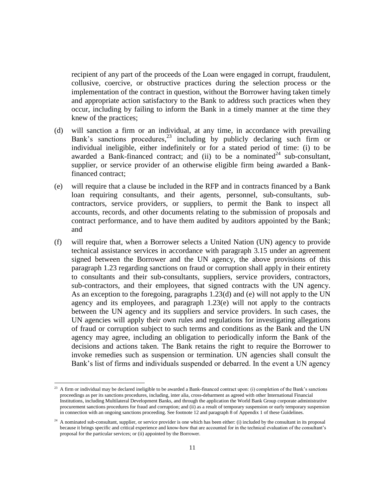recipient of any part of the proceeds of the Loan were engaged in corrupt, fraudulent, collusive, coercive, or obstructive practices during the selection process or the implementation of the contract in question, without the Borrower having taken timely and appropriate action satisfactory to the Bank to address such practices when they occur, including by failing to inform the Bank in a timely manner at the time they knew of the practices;

- (d) will sanction a firm or an individual, at any time, in accordance with prevailing Bank's sanctions procedures, <sup>23</sup> including by publicly declaring such firm or individual ineligible, either indefinitely or for a stated period of time: (i) to be awarded a Bank-financed contract; and (ii) to be a nominated<sup>24</sup> sub-consultant, supplier, or service provider of an otherwise eligible firm being awarded a Bankfinanced contract;
- (e) will require that a clause be included in the RFP and in contracts financed by a Bank loan requiring consultants, and their agents, personnel, sub-consultants, subcontractors, service providers, or suppliers, to permit the Bank to inspect all accounts, records, and other documents relating to the submission of proposals and contract performance, and to have them audited by auditors appointed by the Bank; and
- (f) will require that, when a Borrower selects a United Nation (UN) agency to provide technical assistance services in accordance with paragraph 3.15 under an agreement signed between the Borrower and the UN agency, the above provisions of this paragraph 1.23 regarding sanctions on fraud or corruption shall apply in their entirety to consultants and their sub-consultants, suppliers, service providers, contractors, sub-contractors, and their employees, that signed contracts with the UN agency. As an exception to the foregoing, paragraphs 1.23(d) and (e) will not apply to the UN agency and its employees, and paragraph 1.23(e) will not apply to the contracts between the UN agency and its suppliers and service providers. In such cases, the UN agencies will apply their own rules and regulations for investigating allegations of fraud or corruption subject to such terms and conditions as the Bank and the UN agency may agree, including an obligation to periodically inform the Bank of the decisions and actions taken. The Bank retains the right to require the Borrower to invoke remedies such as suspension or termination. UN agencies shall consult the Bank's list of firms and individuals suspended or debarred. In the event a UN agency

 $23$  A firm or individual may be declared ineligible to be awarded a Bank-financed contract upon: (i) completion of the Bank's sanctions proceedings as per its sanctions procedures, including, inter alia, cross-debarment as agreed with other International Financial Institutions, including Multilateral Development Banks, and through the application the World Bank Group corporate administrative procurement sanctions procedures for fraud and corruption; and (ii) as a result of temporary suspension or early temporary suspension in connection with an ongoing sanctions proceeding. See footnote 12 and paragraph 8 of Appendix 1 of these Guidelines.

 $24$  A nominated sub-consultant, supplier, or service provider is one which has been either: (i) included by the consultant in its proposal because it brings specific and critical experience and know-how that are accounted for in the technical evaluation of the consultant's proposal for the particular services; or (ii) appointed by the Borrower.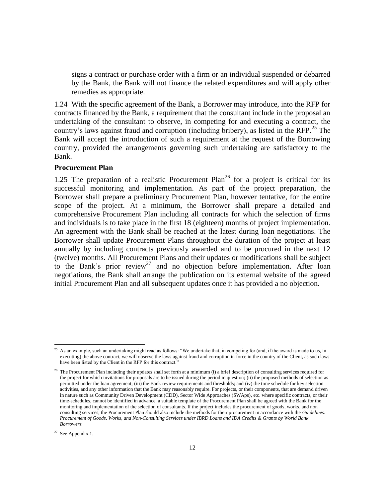signs a contract or purchase order with a firm or an individual suspended or debarred by the Bank, the Bank will not finance the related expenditures and will apply other remedies as appropriate.

1.24 With the specific agreement of the Bank, a Borrower may introduce, into the RFP for contracts financed by the Bank, a requirement that the consultant include in the proposal an undertaking of the consultant to observe, in competing for and executing a contract, the country's laws against fraud and corruption (including bribery), as listed in the RFP. <sup>25</sup> The Bank will accept the introduction of such a requirement at the request of the Borrowing country, provided the arrangements governing such undertaking are satisfactory to the Bank.

#### <span id="page-16-0"></span>**Procurement Plan**

1.25 The preparation of a realistic Procurement Plan<sup>26</sup> for a project is critical for its successful monitoring and implementation. As part of the project preparation, the Borrower shall prepare a preliminary Procurement Plan, however tentative, for the entire scope of the project. At a minimum, the Borrower shall prepare a detailed and comprehensive Procurement Plan including all contracts for which the selection of firms and individuals is to take place in the first 18 (eighteen) months of project implementation. An agreement with the Bank shall be reached at the latest during loan negotiations. The Borrower shall update Procurement Plans throughout the duration of the project at least annually by including contracts previously awarded and to be procured in the next 12 (twelve) months. All Procurement Plans and their updates or modifications shall be subject to the Bank's prior review<sup>27</sup> and no objection before implementation. After loan negotiations, the Bank shall arrange the publication on its external website of the agreed initial Procurement Plan and all subsequent updates once it has provided a no objection.

 $27$  See Appendix 1.

<sup>&</sup>lt;sup>25</sup> As an example, such an undertaking might read as follows: "We undertake that, in competing for (and, if the award is made to us, in executing) the above contract, we will observe the laws against fraud and corruption in force in the country of the Client, as such laws have been listed by the Client in the RFP for this contract."

 $26$  The Procurement Plan including their updates shall set forth at a minimum (i) a brief description of consulting services required for the project for which invitations for proposals are to be issued during the period in question; (ii) the proposed methods of selection as permitted under the loan agreement; (iii) the Bank review requirements and thresholds; and (iv) the time schedule for key selection activities, and any other information that the Bank may reasonably require. For projects, or their components, that are demand driven in nature such as Community Driven Development (CDD), Sector Wide Approaches (SWAps), etc. where specific contracts, or their time-schedules, cannot be identified in advance, a suitable template of the Procurement Plan shall be agreed with the Bank for the monitoring and implementation of the selection of consultants. If the project includes the procurement of goods, works, and non consulting services, the Procurement Plan should also include the methods for their procurement in accordance with the *Guidelines: Procurement of Goods, Works, and Non-Consulting Services under IBRD Loans and IDA Credits & Grants by World Bank Borrowers.*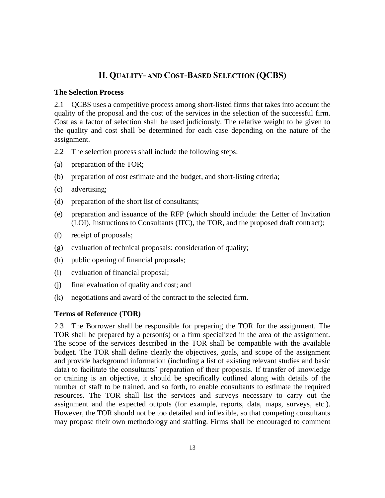# **II. QUALITY- AND COST-BASED SELECTION (QCBS)**

#### <span id="page-17-1"></span><span id="page-17-0"></span>**The Selection Process**

2.1 QCBS uses a competitive process among short-listed firms that takes into account the quality of the proposal and the cost of the services in the selection of the successful firm. Cost as a factor of selection shall be used judiciously. The relative weight to be given to the quality and cost shall be determined for each case depending on the nature of the assignment.

- 2.2 The selection process shall include the following steps:
- (a) preparation of the TOR;
- (b) preparation of cost estimate and the budget, and short-listing criteria;
- (c) advertising;
- (d) preparation of the short list of consultants;
- (e) preparation and issuance of the RFP (which should include: the Letter of Invitation (LOI), Instructions to Consultants (ITC), the TOR, and the proposed draft contract);
- (f) receipt of proposals;
- (g) evaluation of technical proposals: consideration of quality;
- (h) public opening of financial proposals;
- (i) evaluation of financial proposal;
- (j) final evaluation of quality and cost; and
- <span id="page-17-2"></span>(k) negotiations and award of the contract to the selected firm.

#### **Terms of Reference (TOR)**

2.3 The Borrower shall be responsible for preparing the TOR for the assignment. The TOR shall be prepared by a person(s) or a firm specialized in the area of the assignment. The scope of the services described in the TOR shall be compatible with the available budget. The TOR shall define clearly the objectives, goals, and scope of the assignment and provide background information (including a list of existing relevant studies and basic data) to facilitate the consultants' preparation of their proposals. If transfer of knowledge or training is an objective, it should be specifically outlined along with details of the number of staff to be trained, and so forth, to enable consultants to estimate the required resources. The TOR shall list the services and surveys necessary to carry out the assignment and the expected outputs (for example, reports, data, maps, surveys, etc.). However, the TOR should not be too detailed and inflexible, so that competing consultants may propose their own methodology and staffing. Firms shall be encouraged to comment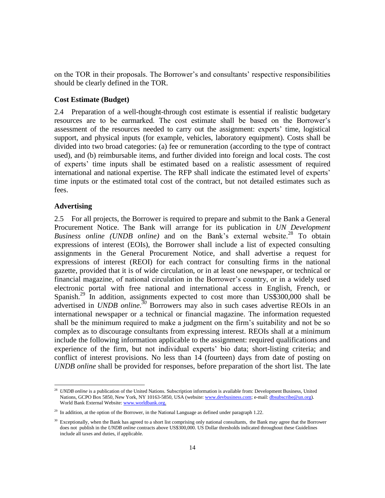on the TOR in their proposals. The Borrower's and consultants' respective responsibilities should be clearly defined in the TOR.

#### <span id="page-18-0"></span>**Cost Estimate (Budget)**

2.4 Preparation of a well-thought-through cost estimate is essential if realistic budgetary resources are to be earmarked. The cost estimate shall be based on the Borrower's assessment of the resources needed to carry out the assignment: experts' time, logistical support, and physical inputs (for example, vehicles, laboratory equipment). Costs shall be divided into two broad categories: (a) fee or remuneration (according to the type of contract used), and (b) reimbursable items, and further divided into foreign and local costs. The cost of experts' time inputs shall be estimated based on a realistic assessment of required international and national expertise. The RFP shall indicate the estimated level of experts' time inputs or the estimated total cost of the contract, but not detailed estimates such as fees.

#### <span id="page-18-1"></span>**Advertising**

 $\overline{a}$ 

2.5 For all projects, the Borrower is required to prepare and submit to the Bank a General Procurement Notice. The Bank will arrange for its publication in *UN Development Business online (UNDB online)* and on the Bank's external website. <sup>28</sup> To obtain expressions of interest (EOIs), the Borrower shall include a list of expected consulting assignments in the General Procurement Notice, and shall advertise a request for expressions of interest (REOI) for each contract for consulting firms in the national gazette, provided that it is of wide circulation, or in at least one newspaper, or technical or financial magazine, of national circulation in the Borrower's country, or in a widely used electronic portal with free national and international access in English, French, or Spanish.<sup>29</sup> In addition, assignments expected to cost more than US\$300,000 shall be advertised in *UNDB online. <sup>30</sup>* Borrowers may also in such cases advertise REOIs in an international newspaper or a technical or financial magazine. The information requested shall be the minimum required to make a judgment on the firm's suitability and not be so complex as to discourage consultants from expressing interest. REOIs shall at a minimum include the following information applicable to the assignment: required qualifications and experience of the firm, but not individual experts' bio data; short-listing criteria; and conflict of interest provisions. No less than 14 (fourteen) days from date of posting on *UNDB online* shall be provided for responses, before preparation of the short list. The late

<sup>&</sup>lt;sup>28</sup> *UNDB online* is a publication of the United Nations. Subscription information is available from: Development Business, United Nations, GCPO Box 5850, New York, NY 10163-5850, USA (website[: www.devbusiness.com;](http://www.devbusiness.com/) e-mail[: dbsubscribe@un.org\)](mailto:dbsubscribe@un.org). World Bank External Website[: www.worldbank.org.](http://www.worldbank.org/) 

<sup>&</sup>lt;sup>29</sup> In addition, at the option of the Borrower, in the National Language as defined under paragraph 1.22.

<sup>&</sup>lt;sup>30</sup> Exceptionally, when the Bank has agreed to a short list comprising only national consultants, the Bank may agree that the Borrower does not publish in the *UNDB online* contracts above US\$300,000. US Dollar thresholds indicated throughout these Guidelines include all taxes and duties, if applicable.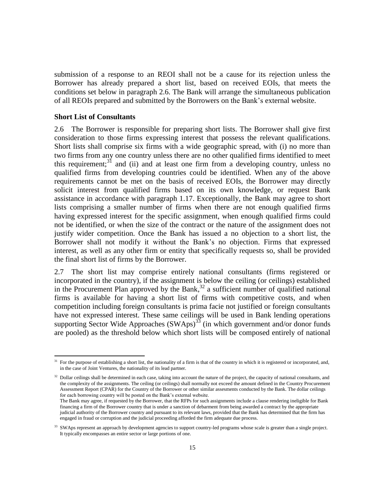submission of a response to an REOI shall not be a cause for its rejection unless the Borrower has already prepared a short list, based on received EOIs, that meets the conditions set below in paragraph 2.6. The Bank will arrange the simultaneous publication of all REOIs prepared and submitted by the Borrowers on the Bank's external website.

#### <span id="page-19-0"></span>**Short List of Consultants**

 $\overline{a}$ 

2.6 The Borrower is responsible for preparing short lists. The Borrower shall give first consideration to those firms expressing interest that possess the relevant qualifications. Short lists shall comprise six firms with a wide geographic spread, with (i) no more than two firms from any one country unless there are no other qualified firms identified to meet this requirement;<sup>31</sup> and (ii) and at least one firm from a developing country, unless no qualified firms from developing countries could be identified. When any of the above requirements cannot be met on the basis of received EOIs, the Borrower may directly solicit interest from qualified firms based on its own knowledge, or request Bank assistance in accordance with paragraph 1.17. Exceptionally, the Bank may agree to short lists comprising a smaller number of firms when there are not enough qualified firms having expressed interest for the specific assignment, when enough qualified firms could not be identified, or when the size of the contract or the nature of the assignment does not justify wider competition. Once the Bank has issued a no objection to a short list, the Borrower shall not modify it without the Bank's no objection. Firms that expressed interest, as well as any other firm or entity that specifically requests so, shall be provided the final short list of firms by the Borrower.

2.7 The short list may comprise entirely national consultants (firms registered or incorporated in the country), if the assignment is below the ceiling (or ceilings) established in the Procurement Plan approved by the Bank, $^{32}$  a sufficient number of qualified national firms is available for having a short list of firms with competitive costs, and when competition including foreign consultants is prima facie not justified or foreign consultants have not expressed interest. These same ceilings will be used in Bank lending operations supporting Sector Wide Approaches  $(SWAps)^{33}$  (in which government and/or donor funds are pooled) as the threshold below which short lists will be composed entirely of national

<sup>31</sup> For the purpose of establishing a short list, the nationality of a firm is that of the country in which it is registered or incorporated, and, in the case of Joint Ventures, the nationality of its lead partner.

<sup>&</sup>lt;sup>32</sup> Dollar ceilings shall be determined in each case, taking into account the nature of the project, the capacity of national consultants, and the complexity of the assignments. The ceiling (or ceilings) shall normally not exceed the amount defined in the Country Procurement Assessment Report (CPAR) for the Country of the Borrower or other similar assesments conducted by the Bank. The dollar ceilings for each borrowing country will be posted on the Bank's external website.

The Bank may agree, if requested by the Borrower, that the RFPs for such assignments include a clause rendering ineligible for Bank financing a firm of the Borrower country that is under a sanction of debarment from being awarded a contract by the appropriate judicial authority of the Borrower country and pursuant to its relevant laws, provided that the Bank has determined that the firm has engaged in fraud or corruption and the judicial proceeding afforded the firm adequate due process.

<sup>&</sup>lt;sup>33</sup> SWAps represent an approach by development agencies to support country-led programs whose scale is greater than a single project. It typically encompasses an entire sector or large portions of one.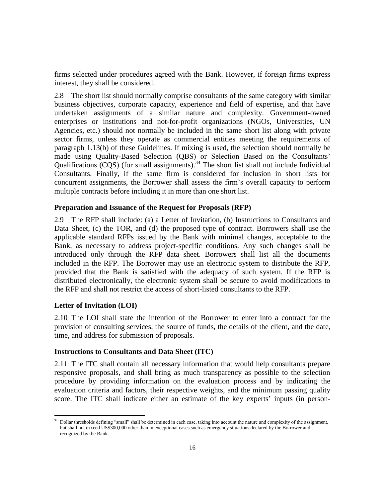firms selected under procedures agreed with the Bank. However, if foreign firms express interest, they shall be considered.

2.8 The short list should normally comprise consultants of the same category with similar business objectives, corporate capacity, experience and field of expertise, and that have undertaken assignments of a similar nature and complexity. Government-owned enterprises or institutions and not-for-profit organizations (NGOs, Universities, UN Agencies, etc.) should not normally be included in the same short list along with private sector firms, unless they operate as commercial entities meeting the requirements of paragraph 1.13(b) of these Guidelines. If mixing is used, the selection should normally be made using Quality-Based Selection (QBS) or Selection Based on the Consultants' Qualifications  $(CQS)$  (for small assignments).<sup>34</sup> The short list shall not include Individual Consultants. Finally, if the same firm is considered for inclusion in short lists for concurrent assignments, the Borrower shall assess the firm's overall capacity to perform multiple contracts before including it in more than one short list.

#### <span id="page-20-0"></span>**Preparation and Issuance of the Request for Proposals (RFP)**

2.9 The RFP shall include: (a) a Letter of Invitation, (b) Instructions to Consultants and Data Sheet, (c) the TOR, and (d) the proposed type of contract. Borrowers shall use the applicable standard RFPs issued by the Bank with minimal changes, acceptable to the Bank, as necessary to address project-specific conditions. Any such changes shall be introduced only through the RFP data sheet. Borrowers shall list all the documents included in the RFP. The Borrower may use an electronic system to distribute the RFP, provided that the Bank is satisfied with the adequacy of such system. If the RFP is distributed electronically, the electronic system shall be secure to avoid modifications to the RFP and shall not restrict the access of short-listed consultants to the RFP.

#### <span id="page-20-1"></span>**Letter of Invitation (LOI)**

 $\overline{a}$ 

2.10 The LOI shall state the intention of the Borrower to enter into a contract for the provision of consulting services, the source of funds, the details of the client, and the date, time, and address for submission of proposals.

#### <span id="page-20-2"></span>**Instructions to Consultants and Data Sheet (ITC)**

2.11 The ITC shall contain all necessary information that would help consultants prepare responsive proposals, and shall bring as much transparency as possible to the selection procedure by providing information on the evaluation process and by indicating the evaluation criteria and factors, their respective weights, and the minimum passing quality score. The ITC shall indicate either an estimate of the key experts' inputs (in person-

<sup>&</sup>lt;sup>34</sup> Dollar thresholds defining "small" shall be determined in each case, taking into account the nature and complexity of the assignment, but shall not exceed US\$300,000 other than in exceptional cases such as emergency situations declared by the Borrower and recognized by the Bank.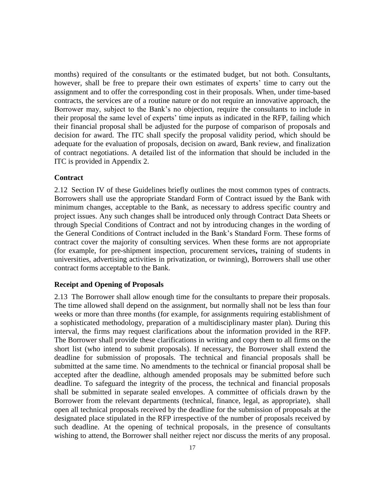months) required of the consultants or the estimated budget, but not both. Consultants, however, shall be free to prepare their own estimates of experts' time to carry out the assignment and to offer the corresponding cost in their proposals. When, under time-based contracts, the services are of a routine nature or do not require an innovative approach, the Borrower may, subject to the Bank's no objection, require the consultants to include in their proposal the same level of experts' time inputs as indicated in the RFP, failing which their financial proposal shall be adjusted for the purpose of comparison of proposals and decision for award. The ITC shall specify the proposal validity period, which should be adequate for the evaluation of proposals, decision on award, Bank review, and finalization of contract negotiations. A detailed list of the information that should be included in the ITC is provided in Appendix 2.

#### <span id="page-21-0"></span>**Contract**

2.12 Section IV of these Guidelines briefly outlines the most common types of contracts. Borrowers shall use the appropriate Standard Form of Contract issued by the Bank with minimum changes, acceptable to the Bank, as necessary to address specific country and project issues. Any such changes shall be introduced only through Contract Data Sheets or through Special Conditions of Contract and not by introducing changes in the wording of the General Conditions of Contract included in the Bank's Standard Form. These forms of contract cover the majority of consulting services. When these forms are not appropriate (for example, for pre-shipment inspection, procurement services**,** training of students in universities, advertising activities in privatization, or twinning), Borrowers shall use other contract forms acceptable to the Bank.

#### <span id="page-21-1"></span>**Receipt and Opening of Proposals**

2.13 The Borrower shall allow enough time for the consultants to prepare their proposals. The time allowed shall depend on the assignment, but normally shall not be less than four weeks or more than three months (for example, for assignments requiring establishment of a sophisticated methodology, preparation of a multidisciplinary master plan). During this interval, the firms may request clarifications about the information provided in the RFP. The Borrower shall provide these clarifications in writing and copy them to all firms on the short list (who intend to submit proposals). If necessary, the Borrower shall extend the deadline for submission of proposals. The technical and financial proposals shall be submitted at the same time. No amendments to the technical or financial proposal shall be accepted after the deadline, although amended proposals may be submitted before such deadline. To safeguard the integrity of the process, the technical and financial proposals shall be submitted in separate sealed envelopes. A committee of officials drawn by the Borrower from the relevant departments (technical, finance, legal, as appropriate), shall open all technical proposals received by the deadline for the submission of proposals at the designated place stipulated in the RFP irrespective of the number of proposals received by such deadline. At the opening of technical proposals, in the presence of consultants wishing to attend, the Borrower shall neither reject nor discuss the merits of any proposal.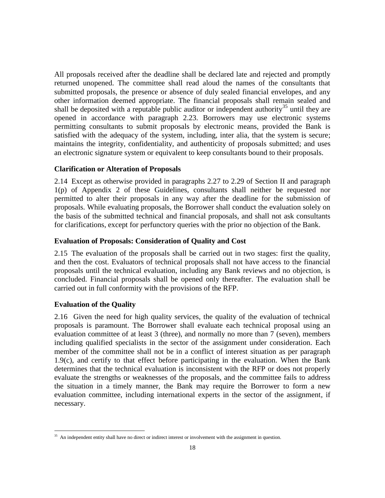All proposals received after the deadline shall be declared late and rejected and promptly returned unopened. The committee shall read aloud the names of the consultants that submitted proposals, the presence or absence of duly sealed financial envelopes, and any other information deemed appropriate. The financial proposals shall remain sealed and shall be deposited with a reputable public auditor or independent authority<sup>35</sup> until they are opened in accordance with paragraph 2.23. Borrowers may use electronic systems permitting consultants to submit proposals by electronic means, provided the Bank is satisfied with the adequacy of the system, including, inter alia, that the system is secure; maintains the integrity, confidentiality, and authenticity of proposals submitted; and uses an electronic signature system or equivalent to keep consultants bound to their proposals.

#### <span id="page-22-0"></span>**Clarification or Alteration of Proposals**

2.14 Except as otherwise provided in paragraphs 2.27 to 2.29 of Section II and paragraph 1(p) of Appendix 2 of these Guidelines, consultants shall neither be requested nor permitted to alter their proposals in any way after the deadline for the submission of proposals. While evaluating proposals, the Borrower shall conduct the evaluation solely on the basis of the submitted technical and financial proposals, and shall not ask consultants for clarifications, except for perfunctory queries with the prior no objection of the Bank.

#### <span id="page-22-1"></span>**Evaluation of Proposals: Consideration of Quality and Cost**

2.15 The evaluation of the proposals shall be carried out in two stages: first the quality, and then the cost. Evaluators of technical proposals shall not have access to the financial proposals until the technical evaluation, including any Bank reviews and no objection, is concluded. Financial proposals shall be opened only thereafter. The evaluation shall be carried out in full conformity with the provisions of the RFP.

#### <span id="page-22-2"></span>**Evaluation of the Quality**

 $\overline{a}$ 

2.16 Given the need for high quality services, the quality of the evaluation of technical proposals is paramount. The Borrower shall evaluate each technical proposal using an evaluation committee of at least 3 (three), and normally no more than 7 (seven), members including qualified specialists in the sector of the assignment under consideration. Each member of the committee shall not be in a conflict of interest situation as per paragraph 1.9(c), and certify to that effect before participating in the evaluation. When the Bank determines that the technical evaluation is inconsistent with the RFP or does not properly evaluate the strengths or weaknesses of the proposals, and the committee fails to address the situation in a timely manner, the Bank may require the Borrower to form a new evaluation committee, including international experts in the sector of the assignment, if necessary.

<sup>35</sup> An independent entity shall have no direct or indirect interest or involvement with the assignment in question.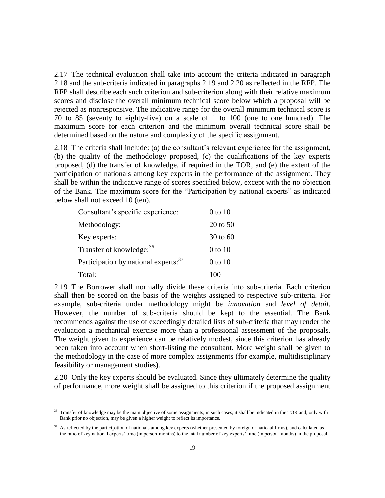2.17 The technical evaluation shall take into account the criteria indicated in paragraph 2.18 and the sub-criteria indicated in paragraphs 2.19 and 2.20 as reflected in the RFP. The RFP shall describe each such criterion and sub-criterion along with their relative maximum scores and disclose the overall minimum technical score below which a proposal will be rejected as nonresponsive. The indicative range for the overall minimum technical score is 70 to 85 (seventy to eighty-five) on a scale of 1 to 100 (one to one hundred). The maximum score for each criterion and the minimum overall technical score shall be determined based on the nature and complexity of the specific assignment.

2.18 The criteria shall include: (a) the consultant's relevant experience for the assignment, (b) the quality of the methodology proposed, (c) the qualifications of the key experts proposed, (d) the transfer of knowledge, if required in the TOR, and (e) the extent of the participation of nationals among key experts in the performance of the assignment. They shall be within the indicative range of scores specified below, except with the no objection of the Bank. The maximum score for the "Participation by national experts" as indicated below shall not exceed 10 (ten).

| Consultant's specific experience:                | 0 to 10      |
|--------------------------------------------------|--------------|
| Methodology:                                     | $20$ to $50$ |
| Key experts:                                     | 30 to 60     |
| Transfer of knowledge: 36                        | 0 to 10      |
| Participation by national experts: <sup>37</sup> | $0$ to $10$  |
| Total:                                           | 100          |

 $\overline{a}$ 

2.19 The Borrower shall normally divide these criteria into sub-criteria. Each criterion shall then be scored on the basis of the weights assigned to respective sub-criteria. For example, sub-criteria under methodology might be *innovation* and *level of detail*. However, the number of sub-criteria should be kept to the essential. The Bank recommends against the use of exceedingly detailed lists of sub-criteria that may render the evaluation a mechanical exercise more than a professional assessment of the proposals. The weight given to experience can be relatively modest, since this criterion has already been taken into account when short-listing the consultant. More weight shall be given to the methodology in the case of more complex assignments (for example, multidisciplinary feasibility or management studies).

2.20 Only the key experts should be evaluated. Since they ultimately determine the quality of performance, more weight shall be assigned to this criterion if the proposed assignment

<sup>&</sup>lt;sup>36</sup> Transfer of knowledge may be the main objective of some assignments; in such cases, it shall be indicated in the TOR and, only with Bank prior no objection, may be given a higher weight to reflect its importance.

<sup>&</sup>lt;sup>37</sup> As reflected by the participation of nationals among key experts (whether presented by foreign or national firms), and calculated as the ratio of key national experts' time (in person-months) to the total number of key experts' time (in person-months) in the proposal.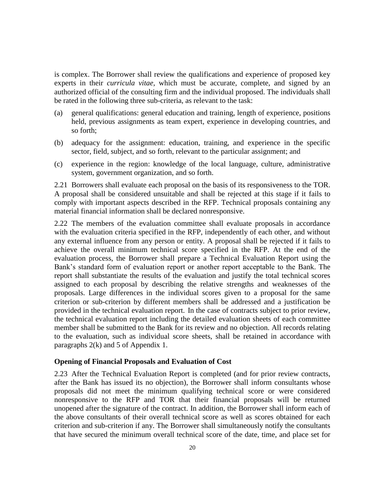is complex. The Borrower shall review the qualifications and experience of proposed key experts in their *curricula vitae,* which must be accurate, complete, and signed by an authorized official of the consulting firm and the individual proposed. The individuals shall be rated in the following three sub-criteria, as relevant to the task:

- (a) general qualifications: general education and training, length of experience, positions held, previous assignments as team expert, experience in developing countries, and so forth;
- (b) adequacy for the assignment: education, training, and experience in the specific sector, field, subject, and so forth, relevant to the particular assignment; and
- (c) experience in the region: knowledge of the local language, culture, administrative system, government organization, and so forth.

2.21 Borrowers shall evaluate each proposal on the basis of its responsiveness to the TOR. A proposal shall be considered unsuitable and shall be rejected at this stage if it fails to comply with important aspects described in the RFP. Technical proposals containing any material financial information shall be declared nonresponsive.

2.22 The members of the evaluation committee shall evaluate proposals in accordance with the evaluation criteria specified in the RFP, independently of each other, and without any external influence from any person or entity. A proposal shall be rejected if it fails to achieve the overall minimum technical score specified in the RFP. At the end of the evaluation process, the Borrower shall prepare a Technical Evaluation Report using the Bank's standard form of evaluation report or another report acceptable to the Bank. The report shall substantiate the results of the evaluation and justify the total technical scores assigned to each proposal by describing the relative strengths and weaknesses of the proposals. Large differences in the individual scores given to a proposal for the same criterion or sub-criterion by different members shall be addressed and a justification be provided in the technical evaluation report. In the case of contracts subject to prior review, the technical evaluation report including the detailed evaluation sheets of each committee member shall be submitted to the Bank for its review and no objection. All records relating to the evaluation, such as individual score sheets, shall be retained in accordance with paragraphs 2(k) and 5 of Appendix 1.

#### <span id="page-24-0"></span>**Opening of Financial Proposals and Evaluation of Cost**

2.23 After the Technical Evaluation Report is completed (and for prior review contracts, after the Bank has issued its no objection), the Borrower shall inform consultants whose proposals did not meet the minimum qualifying technical score or were considered nonresponsive to the RFP and TOR that their financial proposals will be returned unopened after the signature of the contract. In addition, the Borrower shall inform each of the above consultants of their overall technical score as well as scores obtained for each criterion and sub-criterion if any. The Borrower shall simultaneously notify the consultants that have secured the minimum overall technical score of the date, time, and place set for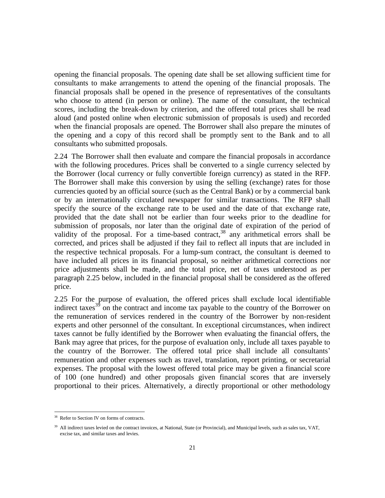opening the financial proposals. The opening date shall be set allowing sufficient time for consultants to make arrangements to attend the opening of the financial proposals. The financial proposals shall be opened in the presence of representatives of the consultants who choose to attend (in person or online). The name of the consultant, the technical scores, including the break-down by criterion, and the offered total prices shall be read aloud (and posted online when electronic submission of proposals is used) and recorded when the financial proposals are opened. The Borrower shall also prepare the minutes of the opening and a copy of this record shall be promptly sent to the Bank and to all consultants who submitted proposals.

2.24 The Borrower shall then evaluate and compare the financial proposals in accordance with the following procedures. Prices shall be converted to a single currency selected by the Borrower (local currency or fully convertible foreign currency) as stated in the RFP. The Borrower shall make this conversion by using the selling (exchange) rates for those currencies quoted by an official source (such as the Central Bank) or by a commercial bank or by an internationally circulated newspaper for similar transactions. The RFP shall specify the source of the exchange rate to be used and the date of that exchange rate, provided that the date shall not be earlier than four weeks prior to the deadline for submission of proposals, nor later than the original date of expiration of the period of validity of the proposal. For a time-based contract,<sup>38</sup> any arithmetical errors shall be corrected, and prices shall be adjusted if they fail to reflect all inputs that are included in the respective technical proposals. For a lump-sum contract, the consultant is deemed to have included all prices in its financial proposal, so neither arithmetical corrections nor price adjustments shall be made, and the total price, net of taxes understood as per paragraph 2.25 below, included in the financial proposal shall be considered as the offered price.

2.25 For the purpose of evaluation, the offered prices shall exclude local identifiable indirect taxes<sup>39</sup> on the contract and income tax payable to the country of the Borrower on the remuneration of services rendered in the country of the Borrower by non-resident experts and other personnel of the consultant. In exceptional circumstances, when indirect taxes cannot be fully identified by the Borrower when evaluating the financial offers, the Bank may agree that prices, for the purpose of evaluation only, include all taxes payable to the country of the Borrower. The offered total price shall include all consultants' remuneration and other expenses such as travel, translation, report printing, or secretarial expenses. The proposal with the lowest offered total price may be given a financial score of 100 (one hundred) and other proposals given financial scores that are inversely proportional to their prices. Alternatively, a directly proportional or other methodology

Refer to Section IV on forms of contracts.

<sup>&</sup>lt;sup>39</sup> All indirect taxes levied on the contract invoices, at National, State (or Provincial), and Municipal levels, such as sales tax, VAT, excise tax, and similar taxes and levies.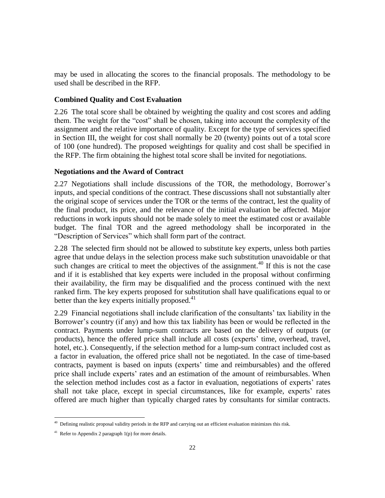may be used in allocating the scores to the financial proposals. The methodology to be used shall be described in the RFP.

#### <span id="page-26-0"></span>**Combined Quality and Cost Evaluation**

2.26 The total score shall be obtained by weighting the quality and cost scores and adding them. The weight for the "cost" shall be chosen, taking into account the complexity of the assignment and the relative importance of quality. Except for the type of services specified in Section III, the weight for cost shall normally be 20 (twenty) points out of a total score of 100 (one hundred). The proposed weightings for quality and cost shall be specified in the RFP. The firm obtaining the highest total score shall be invited for negotiations.

#### <span id="page-26-1"></span>**Negotiations and the Award of Contract**

2.27 Negotiations shall include discussions of the TOR, the methodology, Borrower's inputs, and special conditions of the contract. These discussions shall not substantially alter the original scope of services under the TOR or the terms of the contract, lest the quality of the final product, its price, and the relevance of the initial evaluation be affected. Major reductions in work inputs should not be made solely to meet the estimated cost or available budget. The final TOR and the agreed methodology shall be incorporated in the "Description of Services" which shall form part of the contract.

2.28 The selected firm should not be allowed to substitute key experts, unless both parties agree that undue delays in the selection process make such substitution unavoidable or that such changes are critical to meet the objectives of the assignment.<sup>40</sup> If this is not the case and if it is established that key experts were included in the proposal without confirming their availability, the firm may be disqualified and the process continued with the next ranked firm. The key experts proposed for substitution shall have qualifications equal to or better than the key experts initially proposed.<sup>41</sup>

2.29 Financial negotiations shall include clarification of the consultants' tax liability in the Borrower's country (if any) and how this tax liability has been or would be reflected in the contract. Payments under lump-sum contracts are based on the delivery of outputs (or products), hence the offered price shall include all costs (experts' time, overhead, travel, hotel, etc.). Consequently, if the selection method for a lump-sum contract included cost as a factor in evaluation, the offered price shall not be negotiated. In the case of time-based contracts, payment is based on inputs (experts' time and reimbursables) and the offered price shall include experts' rates and an estimation of the amount of reimbursables. When the selection method includes cost as a factor in evaluation, negotiations of experts' rates shall not take place, except in special circumstances, like for example, experts' rates offered are much higher than typically charged rates by consultants for similar contracts.

<sup>&</sup>lt;sup>40</sup> Defining realistic proposal validity periods in the RFP and carrying out an efficient evaluation minimizes this risk.

<sup>&</sup>lt;sup>41</sup> Refer to Appendix 2 paragraph  $1(p)$  for more details.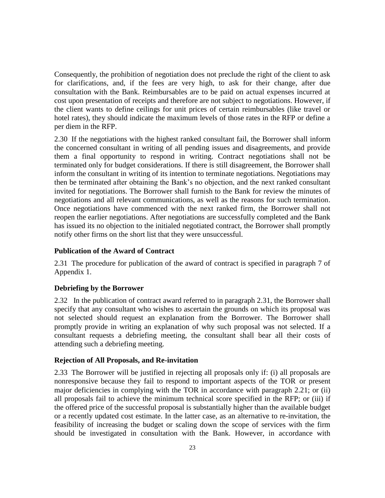Consequently, the prohibition of negotiation does not preclude the right of the client to ask for clarifications, and, if the fees are very high, to ask for their change, after due consultation with the Bank. Reimbursables are to be paid on actual expenses incurred at cost upon presentation of receipts and therefore are not subject to negotiations. However, if the client wants to define ceilings for unit prices of certain reimbursables (like travel or hotel rates), they should indicate the maximum levels of those rates in the RFP or define a per diem in the RFP.

2.30 If the negotiations with the highest ranked consultant fail, the Borrower shall inform the concerned consultant in writing of all pending issues and disagreements, and provide them a final opportunity to respond in writing. Contract negotiations shall not be terminated only for budget considerations. If there is still disagreement, the Borrower shall inform the consultant in writing of its intention to terminate negotiations. Negotiations may then be terminated after obtaining the Bank's no objection, and the next ranked consultant invited for negotiations. The Borrower shall furnish to the Bank for review the minutes of negotiations and all relevant communications, as well as the reasons for such termination. Once negotiations have commenced with the next ranked firm, the Borrower shall not reopen the earlier negotiations. After negotiations are successfully completed and the Bank has issued its no objection to the initialed negotiated contract, the Borrower shall promptly notify other firms on the short list that they were unsuccessful.

#### <span id="page-27-0"></span>**Publication of the Award of Contract**

2.31 The procedure for publication of the award of contract is specified in paragraph 7 of Appendix 1.

#### <span id="page-27-1"></span>**Debriefing by the Borrower**

2.32 In the publication of contract award referred to in paragraph 2.31, the Borrower shall specify that any consultant who wishes to ascertain the grounds on which its proposal was not selected should request an explanation from the Borrower. The Borrower shall promptly provide in writing an explanation of why such proposal was not selected. If a consultant requests a debriefing meeting, the consultant shall bear all their costs of attending such a debriefing meeting.

#### <span id="page-27-2"></span>**Rejection of All Proposals, and Re-invitation**

2.33 The Borrower will be justified in rejecting all proposals only if: (i) all proposals are nonresponsive because they fail to respond to important aspects of the TOR or present major deficiencies in complying with the TOR in accordance with paragraph 2.21; or (ii) all proposals fail to achieve the minimum technical score specified in the RFP; or (iii) if the offered price of the successful proposal is substantially higher than the available budget or a recently updated cost estimate. In the latter case, as an alternative to re-invitation, the feasibility of increasing the budget or scaling down the scope of services with the firm should be investigated in consultation with the Bank. However, in accordance with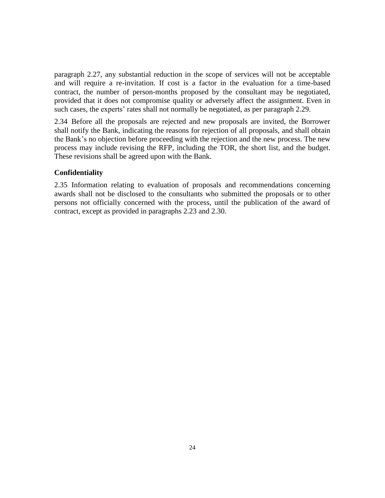paragraph 2.27, any substantial reduction in the scope of services will not be acceptable and will require a re-invitation. If cost is a factor in the evaluation for a time-based contract, the number of person-months proposed by the consultant may be negotiated, provided that it does not compromise quality or adversely affect the assignment. Even in such cases, the experts' rates shall not normally be negotiated, as per paragraph 2.29.

2.34 Before all the proposals are rejected and new proposals are invited, the Borrower shall notify the Bank, indicating the reasons for rejection of all proposals, and shall obtain the Bank's no objection before proceeding with the rejection and the new process. The new process may include revising the RFP, including the TOR, the short list, and the budget. These revisions shall be agreed upon with the Bank.

#### <span id="page-28-0"></span>**Confidentiality**

2.35 Information relating to evaluation of proposals and recommendations concerning awards shall not be disclosed to the consultants who submitted the proposals or to other persons not officially concerned with the process, until the publication of the award of contract, except as provided in paragraphs 2.23 and 2.30.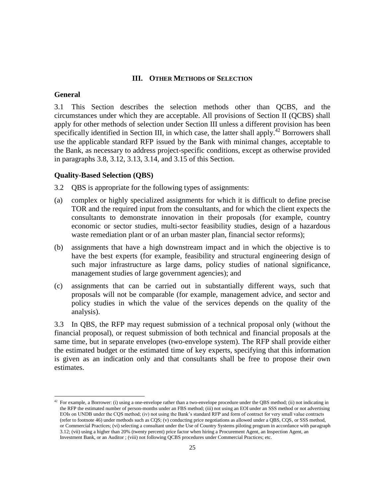#### **III. OTHER METHODS OF SELECTION**

#### <span id="page-29-1"></span><span id="page-29-0"></span>**General**

 $\overline{a}$ 

3.1 This Section describes the selection methods other than QCBS, and the circumstances under which they are acceptable. All provisions of Section II (QCBS) shall apply for other methods of selection under Section III unless a different provision has been specifically identified in Section III, in which case, the latter shall apply.<sup>42</sup> Borrowers shall use the applicable standard RFP issued by the Bank with minimal changes, acceptable to the Bank, as necessary to address project-specific conditions, except as otherwise provided in paragraphs 3.8, 3.12, 3.13, 3.14, and 3.15 of this Section.

#### <span id="page-29-2"></span>**Quality-Based Selection (QBS)**

3.2 QBS is appropriate for the following types of assignments:

- (a) complex or highly specialized assignments for which it is difficult to define precise TOR and the required input from the consultants, and for which the client expects the consultants to demonstrate innovation in their proposals (for example, country economic or sector studies, multi-sector feasibility studies, design of a hazardous waste remediation plant or of an urban master plan, financial sector reforms);
- (b) assignments that have a high downstream impact and in which the objective is to have the best experts (for example, feasibility and structural engineering design of such major infrastructure as large dams, policy studies of national significance, management studies of large government agencies); and
- (c) assignments that can be carried out in substantially different ways, such that proposals will not be comparable (for example, management advice, and sector and policy studies in which the value of the services depends on the quality of the analysis).

3.3 In QBS, the RFP may request submission of a technical proposal only (without the financial proposal), or request submission of both technical and financial proposals at the same time, but in separate envelopes (two-envelope system). The RFP shall provide either the estimated budget or the estimated time of key experts, specifying that this information is given as an indication only and that consultants shall be free to propose their own estimates.

 $42$  For example, a Borrower: (i) using a one-envelope rather than a two-envelope procedure under the QBS method; (ii) not indicating in the RFP the estimated number of person-months under an FBS method; (iii) not using an EOI under an SSS method or not advertising EOIs on UNDB under the CQS method; (iv) not using the Bank's standard RFP and form of contract for very small value contracts (refer to footnote 46) under methods such as CQS; (v) conducting price negotiations as allowed under a QBS, CQS, or SSS method, or Commercial Practices; (vi) selecting a consultant under the Use of Country Systems piloting program in accordance with paragraph 3.12; (vii) using a higher than 20% (twenty percent) price factor when hiring a Procurement Agent, an Inspection Agent, an Investment Bank, or an Auditor ; (viii) not following QCBS procedures under Commercial Practices; etc.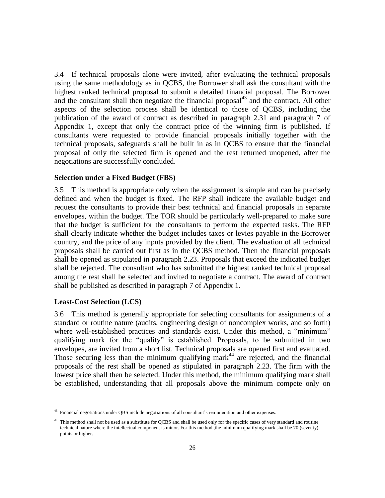3.4 If technical proposals alone were invited, after evaluating the technical proposals using the same methodology as in QCBS, the Borrower shall ask the consultant with the highest ranked technical proposal to submit a detailed financial proposal. The Borrower and the consultant shall then negotiate the financial proposal $43$  and the contract. All other aspects of the selection process shall be identical to those of QCBS, including the publication of the award of contract as described in paragraph 2.31 and paragraph 7 of Appendix 1, except that only the contract price of the winning firm is published. If consultants were requested to provide financial proposals initially together with the technical proposals, safeguards shall be built in as in QCBS to ensure that the financial proposal of only the selected firm is opened and the rest returned unopened, after the negotiations are successfully concluded.

#### <span id="page-30-0"></span>**Selection under a Fixed Budget (FBS)**

3.5 This method is appropriate only when the assignment is simple and can be precisely defined and when the budget is fixed. The RFP shall indicate the available budget and request the consultants to provide their best technical and financial proposals in separate envelopes, within the budget. The TOR should be particularly well-prepared to make sure that the budget is sufficient for the consultants to perform the expected tasks. The RFP shall clearly indicate whether the budget includes taxes or levies payable in the Borrower country, and the price of any inputs provided by the client. The evaluation of all technical proposals shall be carried out first as in the QCBS method. Then the financial proposals shall be opened as stipulated in paragraph 2.23. Proposals that exceed the indicated budget shall be rejected. The consultant who has submitted the highest ranked technical proposal among the rest shall be selected and invited to negotiate a contract. The award of contract shall be published as described in paragraph 7 of Appendix 1.

#### <span id="page-30-1"></span>**Least-Cost Selection (LCS)**

 $\overline{a}$ 

3.6 This method is generally appropriate for selecting consultants for assignments of a standard or routine nature (audits, engineering design of noncomplex works, and so forth) where well-established practices and standards exist. Under this method, a "minimum" qualifying mark for the "quality" is established. Proposals, to be submitted in two envelopes, are invited from a short list. Technical proposals are opened first and evaluated. Those securing less than the minimum qualifying mark<sup>44</sup> are rejected, and the financial proposals of the rest shall be opened as stipulated in paragraph 2.23. The firm with the lowest price shall then be selected. Under this method, the minimum qualifying mark shall be established, understanding that all proposals above the minimum compete only on

<sup>&</sup>lt;sup>43</sup> Financial negotiations under QBS include negotiations of all consultant's remuneration and other expenses.

<sup>&</sup>lt;sup>44</sup> This method shall not be used as a substitute for QCBS and shall be used only for the specific cases of very standard and routine technical nature where the intellectual component is minor. For this method ,the minimum qualifying mark shall be 70 (seventy) points or higher.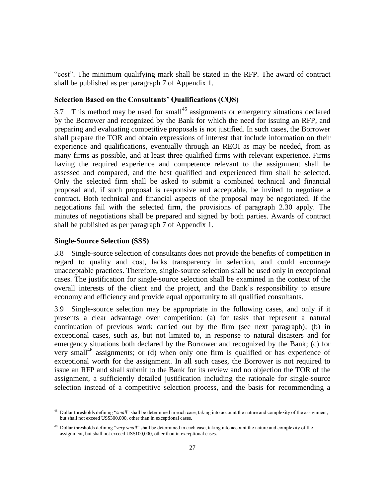"cost". The minimum qualifying mark shall be stated in the RFP. The award of contract shall be published as per paragraph 7 of Appendix 1.

#### <span id="page-31-0"></span>**Selection Based on the Consultants' Qualifications (CQS)**

3.7 This method may be used for small<sup>45</sup> assignments or emergency situations declared by the Borrower and recognized by the Bank for which the need for issuing an RFP, and preparing and evaluating competitive proposals is not justified. In such cases, the Borrower shall prepare the TOR and obtain expressions of interest that include information on their experience and qualifications, eventually through an REOI as may be needed, from as many firms as possible, and at least three qualified firms with relevant experience. Firms having the required experience and competence relevant to the assignment shall be assessed and compared, and the best qualified and experienced firm shall be selected. Only the selected firm shall be asked to submit a combined technical and financial proposal and, if such proposal is responsive and acceptable, be invited to negotiate a contract. Both technical and financial aspects of the proposal may be negotiated. If the negotiations fail with the selected firm, the provisions of paragraph 2.30 apply. The minutes of negotiations shall be prepared and signed by both parties. Awards of contract shall be published as per paragraph 7 of Appendix 1.

#### <span id="page-31-1"></span>**Single-Source Selection (SSS)**

 $\overline{a}$ 

3.8 Single-source selection of consultants does not provide the benefits of competition in regard to quality and cost, lacks transparency in selection, and could encourage unacceptable practices. Therefore, single-source selection shall be used only in exceptional cases. The justification for single-source selection shall be examined in the context of the overall interests of the client and the project, and the Bank's responsibility to ensure economy and efficiency and provide equal opportunity to all qualified consultants.

3.9 Single-source selection may be appropriate in the following cases, and only if it presents a clear advantage over competition: (a) for tasks that represent a natural continuation of previous work carried out by the firm (see next paragraph); (b) in exceptional cases, such as, but not limited to, in response to natural disasters and for emergency situations both declared by the Borrower and recognized by the Bank; (c) for very small<sup>46</sup> assignments; or (d) when only one firm is qualified or has experience of exceptional worth for the assignment. In all such cases, the Borrower is not required to issue an RFP and shall submit to the Bank for its review and no objection the TOR of the assignment, a sufficiently detailed justification including the rationale for single-source selection instead of a competitive selection process, and the basis for recommending a

<sup>&</sup>lt;sup>45</sup> Dollar thresholds defining "small" shall be determined in each case, taking into account the nature and complexity of the assignment, but shall not exceed US\$300,000, other than in exceptional cases.

<sup>46</sup> Dollar thresholds defining "*very small*" shall be determined in each case, taking into account the nature and complexity of the assignment, but shall not exceed US\$100,000, other than in exceptional cases.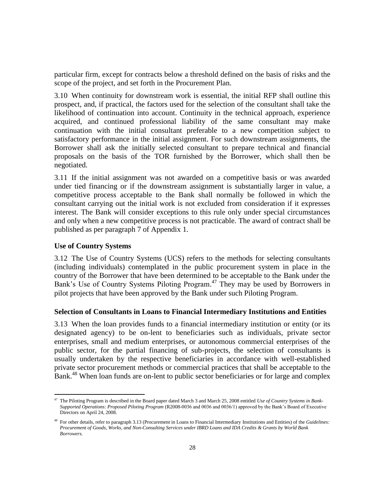particular firm, except for contracts below a threshold defined on the basis of risks and the scope of the project, and set forth in the Procurement Plan.

3.10 When continuity for downstream work is essential, the initial RFP shall outline this prospect, and, if practical, the factors used for the selection of the consultant shall take the likelihood of continuation into account. Continuity in the technical approach, experience acquired, and continued professional liability of the same consultant may make continuation with the initial consultant preferable to a new competition subject to satisfactory performance in the initial assignment. For such downstream assignments, the Borrower shall ask the initially selected consultant to prepare technical and financial proposals on the basis of the TOR furnished by the Borrower, which shall then be negotiated.

3.11 If the initial assignment was not awarded on a competitive basis or was awarded under tied financing or if the downstream assignment is substantially larger in value, a competitive process acceptable to the Bank shall normally be followed in which the consultant carrying out the initial work is not excluded from consideration if it expresses interest. The Bank will consider exceptions to this rule only under special circumstances and only when a new competitive process is not practicable. The award of contract shall be published as per paragraph 7 of Appendix 1.

#### <span id="page-32-0"></span>**Use of Country Systems**

 $\overline{a}$ 

3.12 The Use of Country Systems (UCS) refers to the methods for selecting consultants (including individuals) contemplated in the public procurement system in place in the country of the Borrower that have been determined to be acceptable to the Bank under the Bank's Use of Country Systems Piloting Program.<sup>47</sup> They may be used by Borrowers in pilot projects that have been approved by the Bank under such Piloting Program.

#### <span id="page-32-1"></span>**Selection of Consultants in Loans to Financial Intermediary Institutions and Entities**

3.13 When the loan provides funds to a financial intermediary institution or entity (or its designated agency) to be on-lent to beneficiaries such as individuals, private sector enterprises, small and medium enterprises, or autonomous commercial enterprises of the public sector, for the partial financing of sub-projects, the selection of consultants is usually undertaken by the respective beneficiaries in accordance with well-established private sector procurement methods or commercial practices that shall be acceptable to the Bank.<sup>48</sup> When loan funds are on-lent to public sector beneficiaries or for large and complex

<sup>47</sup> The Piloting Program is described in the Board paper dated March 3 and March 25, 2008 entitled *Use of Country Systems in Bank-Supported Operations: Proposed Piloting Program* (R2008-0036 and 0036 and 0036/1) approved by the Bank's Board of Executive Directors on April 24, 2008.

<sup>48</sup> For other details, refer to paragraph 3.13 (Procurement in Loans to Financial Intermediary Institutions and Entities) of the *Guidelines: Procurement of Goods, Works, and Non-Consulting Services under IBRD Loans and IDA Credits & Grants by World Bank Borrowers.*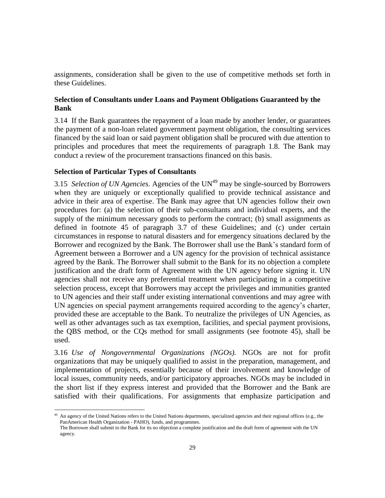assignments, consideration shall be given to the use of competitive methods set forth in these Guidelines.

#### <span id="page-33-0"></span>**Selection of Consultants under Loans and Payment Obligations Guaranteed by the Bank**

3.14 If the Bank guarantees the repayment of a loan made by another lender, or guarantees the payment of a non-loan related government payment obligation, the consulting services financed by the said loan or said payment obligation shall be procured with due attention to principles and procedures that meet the requirements of paragraph 1.8. The Bank may conduct a review of the procurement transactions financed on this basis.

#### <span id="page-33-1"></span>**Selection of Particular Types of Consultants**

 $\overline{a}$ 

3.15 *Selection of UN Agencies.* Agencies of the UN<sup>49</sup> may be single-sourced by Borrowers when they are uniquely or exceptionally qualified to provide technical assistance and advice in their area of expertise. The Bank may agree that UN agencies follow their own procedures for: (a) the selection of their sub-consultants and individual experts, and the supply of the minimum necessary goods to perform the contract; (b) small assignments as defined in footnote 45 of paragraph 3.7 of these Guidelines; and (c) under certain circumstances in response to natural disasters and for emergency situations declared by the Borrower and recognized by the Bank. The Borrower shall use the Bank's standard form of Agreement between a Borrower and a UN agency for the provision of technical assistance agreed by the Bank. The Borrower shall submit to the Bank for its no objection a complete justification and the draft form of Agreement with the UN agency before signing it. UN agencies shall not receive any preferential treatment when participating in a competitive selection process, except that Borrowers may accept the privileges and immunities granted to UN agencies and their staff under existing international conventions and may agree with UN agencies on special payment arrangements required according to the agency's charter, provided these are acceptable to the Bank. To neutralize the privileges of UN Agencies, as well as other advantages such as tax exemption, facilities, and special payment provisions, the QBS method, or the CQs method for small assignments (see footnote 45), shall be used.

3.16 *Use of Nongovernmental Organizations (NGOs).* NGOs are not for profit organizations that may be uniquely qualified to assist in the preparation, management, and implementation of projects, essentially because of their involvement and knowledge of local issues, community needs, and/or participatory approaches. NGOs may be included in the short list if they express interest and provided that the Borrower and the Bank are satisfied with their qualifications. For assignments that emphasize participation and

<sup>&</sup>lt;sup>49</sup> An agency of the United Nations refers to the United Nations departments, specialized agencies and their regional offices (e.g., the PanAmerican Health Organization - PAHO), funds, and programmes. The Borrower shall submit to the Bank for its no objection a complete justification and the draft form of agreement with the UN

agency.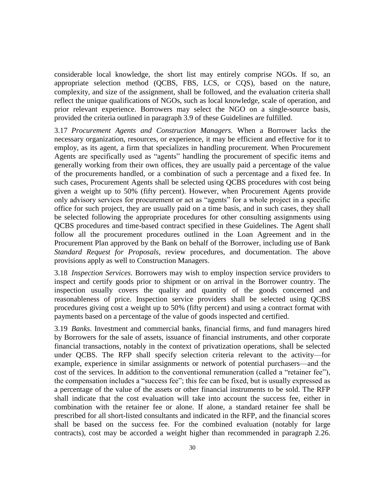considerable local knowledge, the short list may entirely comprise NGOs. If so, an appropriate selection method (QCBS, FBS, LCS, or CQS), based on the nature, complexity, and size of the assignment, shall be followed, and the evaluation criteria shall reflect the unique qualifications of NGOs, such as local knowledge, scale of operation, and prior relevant experience. Borrowers may select the NGO on a single-source basis, provided the criteria outlined in paragraph 3.9 of these Guidelines are fulfilled.

3.17 *Procurement Agents and Construction Managers.* When a Borrower lacks the necessary organization, resources, or experience, it may be efficient and effective for it to employ, as its agent, a firm that specializes in handling procurement. When Procurement Agents are specifically used as "agents" handling the procurement of specific items and generally working from their own offices, they are usually paid a percentage of the value of the procurements handled, or a combination of such a percentage and a fixed fee. In such cases, Procurement Agents shall be selected using QCBS procedures with cost being given a weight up to 50% (fifty percent). However, when Procurement Agents provide only advisory services for procurement or act as "agents" for a whole project in a specific office for such project, they are usually paid on a time basis, and in such cases, they shall be selected following the appropriate procedures for other consulting assignments using QCBS procedures and time-based contract specified in these Guidelines. The Agent shall follow all the procurement procedures outlined in the Loan Agreement and in the Procurement Plan approved by the Bank on behalf of the Borrower, including use of Bank *Standard Request for Proposals*, review procedures, and documentation. The above provisions apply as well to Construction Managers.

3.18 *Inspection Services*. Borrowers may wish to employ inspection service providers to inspect and certify goods prior to shipment or on arrival in the Borrower country. The inspection usually covers the quality and quantity of the goods concerned and reasonableness of price. Inspection service providers shall be selected using QCBS procedures giving cost a weight up to 50% (fifty percent) and using a contract format with payments based on a percentage of the value of goods inspected and certified.

3.19 *Banks*. Investment and commercial banks, financial firms, and fund managers hired by Borrowers for the sale of assets, issuance of financial instruments, and other corporate financial transactions, notably in the context of privatization operations, shall be selected under QCBS. The RFP shall specify selection criteria relevant to the activity—for example, experience in similar assignments or network of potential purchasers—and the cost of the services. In addition to the conventional remuneration (called a "retainer fee"), the compensation includes a "success fee"; this fee can be fixed, but is usually expressed as a percentage of the value of the assets or other financial instruments to be sold. The RFP shall indicate that the cost evaluation will take into account the success fee, either in combination with the retainer fee or alone. If alone, a standard retainer fee shall be prescribed for all short-listed consultants and indicated in the RFP, and the financial scores shall be based on the success fee. For the combined evaluation (notably for large contracts), cost may be accorded a weight higher than recommended in paragraph 2.26.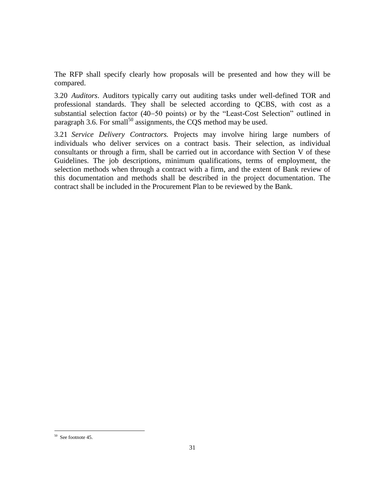The RFP shall specify clearly how proposals will be presented and how they will be compared.

3.20 *Auditors*. Auditors typically carry out auditing tasks under well-defined TOR and professional standards. They shall be selected according to QCBS, with cost as a substantial selection factor (40–50 points) or by the "Least-Cost Selection" outlined in paragraph 3.6. For small<sup>50</sup> assignments, the COS method may be used.

3.21 *Service Delivery Contractors.* Projects may involve hiring large numbers of individuals who deliver services on a contract basis. Their selection, as individual consultants or through a firm, shall be carried out in accordance with Section V of these Guidelines. The job descriptions, minimum qualifications, terms of employment, the selection methods when through a contract with a firm, and the extent of Bank review of this documentation and methods shall be described in the project documentation. The contract shall be included in the Procurement Plan to be reviewed by the Bank.

<sup>50</sup> See footnote 45.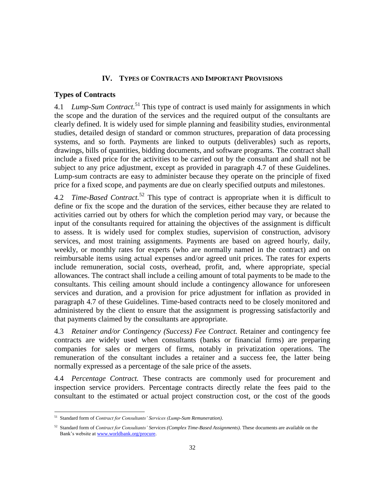#### **IV. TYPES OF CONTRACTS AND IMPORTANT PROVISIONS**

#### <span id="page-36-1"></span><span id="page-36-0"></span>**Types of Contracts**

4.1 *Lump-Sum Contract.*<sup>51</sup> This type of contract is used mainly for assignments in which the scope and the duration of the services and the required output of the consultants are clearly defined. It is widely used for simple planning and feasibility studies, environmental studies, detailed design of standard or common structures, preparation of data processing systems, and so forth. Payments are linked to outputs (deliverables) such as reports, drawings, bills of quantities, bidding documents, and software programs. The contract shall include a fixed price for the activities to be carried out by the consultant and shall not be subject to any price adjustment, except as provided in paragraph 4.7 of these Guidelines. Lump-sum contracts are easy to administer because they operate on the principle of fixed price for a fixed scope, and payments are due on clearly specified outputs and milestones.

4.2 *Time-Based Contract.*<sup>52</sup> This type of contract is appropriate when it is difficult to define or fix the scope and the duration of the services, either because they are related to activities carried out by others for which the completion period may vary, or because the input of the consultants required for attaining the objectives of the assignment is difficult to assess. It is widely used for complex studies, supervision of construction, advisory services, and most training assignments. Payments are based on agreed hourly, daily, weekly, or monthly rates for experts (who are normally named in the contract) and on reimbursable items using actual expenses and/or agreed unit prices. The rates for experts include remuneration, social costs, overhead, profit, and, where appropriate, special allowances. The contract shall include a ceiling amount of total payments to be made to the consultants. This ceiling amount should include a contingency allowance for unforeseen services and duration, and a provision for price adjustment for inflation as provided in paragraph 4.7 of these Guidelines. Time-based contracts need to be closely monitored and administered by the client to ensure that the assignment is progressing satisfactorily and that payments claimed by the consultants are appropriate.

4.3 *Retainer and/or Contingency (Success) Fee Contract.* Retainer and contingency fee contracts are widely used when consultants (banks or financial firms) are preparing companies for sales or mergers of firms, notably in privatization operations. The remuneration of the consultant includes a retainer and a success fee, the latter being normally expressed as a percentage of the sale price of the assets.

4.4 *Percentage Contract.* These contracts are commonly used for procurement and inspection service providers. Percentage contracts directly relate the fees paid to the consultant to the estimated or actual project construction cost, or the cost of the goods

<sup>51</sup> Standard form of *Contract for Consultants' Services (Lump-Sum Remuneration)*.

<sup>52</sup> Standard form of *Contract for Consultants' Services (Complex Time-Based Assignments)*. These documents are available on the Bank's website a[t www.worldbank.org/procure.](http://www.worldbank.org/procure)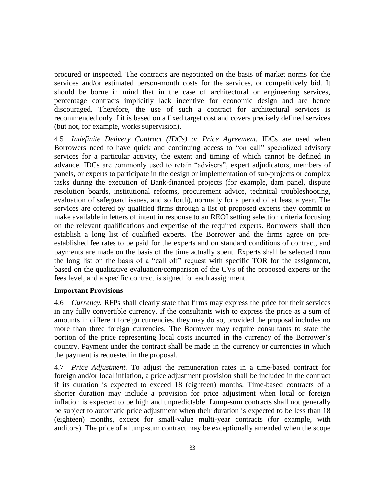procured or inspected. The contracts are negotiated on the basis of market norms for the services and/or estimated person-month costs for the services, or competitively bid. It should be borne in mind that in the case of architectural or engineering services, percentage contracts implicitly lack incentive for economic design and are hence discouraged. Therefore, the use of such a contract for architectural services is recommended only if it is based on a fixed target cost and covers precisely defined services (but not, for example, works supervision).

4.5 *Indefinite Delivery Contract (IDCs) or Price Agreement.* IDCs are used when Borrowers need to have quick and continuing access to "on call" specialized advisory services for a particular activity, the extent and timing of which cannot be defined in advance. IDCs are commonly used to retain "advisers", expert adjudicators, members of panels, or experts to participate in the design or implementation of sub-projects or complex tasks during the execution of Bank-financed projects (for example, dam panel, dispute resolution boards, institutional reforms, procurement advice, technical troubleshooting, evaluation of safeguard issues, and so forth), normally for a period of at least a year. The services are offered by qualified firms through a list of proposed experts they commit to make available in letters of intent in response to an REOI setting selection criteria focusing on the relevant qualifications and expertise of the required experts. Borrowers shall then establish a long list of qualified experts. The Borrower and the firms agree on preestablished fee rates to be paid for the experts and on standard conditions of contract, and payments are made on the basis of the time actually spent. Experts shall be selected from the long list on the basis of a "call off" request with specific TOR for the assignment, based on the qualitative evaluation/comparison of the CVs of the proposed experts or the fees level, and a specific contract is signed for each assignment.

#### <span id="page-37-0"></span>**Important Provisions**

4.6 *Currency.* RFPs shall clearly state that firms may express the price for their services in any fully convertible currency. If the consultants wish to express the price as a sum of amounts in different foreign currencies, they may do so, provided the proposal includes no more than three foreign currencies. The Borrower may require consultants to state the portion of the price representing local costs incurred in the currency of the Borrower's country. Payment under the contract shall be made in the currency or currencies in which the payment is requested in the proposal.

4.7 *Price Adjustment.* To adjust the remuneration rates in a time-based contract for foreign and/or local inflation, a price adjustment provision shall be included in the contract if its duration is expected to exceed 18 (eighteen) months. Time-based contracts of a shorter duration may include a provision for price adjustment when local or foreign inflation is expected to be high and unpredictable. Lump-sum contracts shall not generally be subject to automatic price adjustment when their duration is expected to be less than 18 (eighteen) months, except for small-value multi-year contracts (for example, with auditors). The price of a lump-sum contract may be exceptionally amended when the scope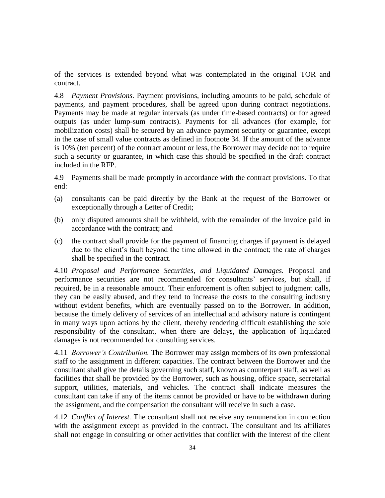of the services is extended beyond what was contemplated in the original TOR and contract.

4.8 *Payment Provisions.* Payment provisions, including amounts to be paid, schedule of payments, and payment procedures, shall be agreed upon during contract negotiations. Payments may be made at regular intervals (as under time-based contracts) or for agreed outputs (as under lump-sum contracts). Payments for all advances (for example, for mobilization costs) shall be secured by an advance payment security or guarantee, except in the case of small value contracts as defined in footnote 34. If the amount of the advance is 10% (ten percent) of the contract amount or less, the Borrower may decide not to require such a security or guarantee, in which case this should be specified in the draft contract included in the RFP.

4.9 Payments shall be made promptly in accordance with the contract provisions. To that end:

- (a) consultants can be paid directly by the Bank at the request of the Borrower or exceptionally through a Letter of Credit;
- (b) only disputed amounts shall be withheld, with the remainder of the invoice paid in accordance with the contract; and
- (c) the contract shall provide for the payment of financing charges if payment is delayed due to the client's fault beyond the time allowed in the contract; the rate of charges shall be specified in the contract.

4.10 *Proposal and Performance Securities, and Liquidated Damages.* Proposal and performance securities are not recommended for consultants' services, but shall, if required, be in a reasonable amount. Their enforcement is often subject to judgment calls, they can be easily abused, and they tend to increase the costs to the consulting industry without evident benefits, which are eventually passed on to the Borrower**.** In addition, because the timely delivery of services of an intellectual and advisory nature is contingent in many ways upon actions by the client, thereby rendering difficult establishing the sole responsibility of the consultant, when there are delays, the application of liquidated damages is not recommended for consulting services.

4.11 *Borrower's Contribution.* The Borrower may assign members of its own professional staff to the assignment in different capacities. The contract between the Borrower and the consultant shall give the details governing such staff, known as counterpart staff, as well as facilities that shall be provided by the Borrower, such as housing, office space, secretarial support, utilities, materials, and vehicles. The contract shall indicate measures the consultant can take if any of the items cannot be provided or have to be withdrawn during the assignment, and the compensation the consultant will receive in such a case.

4.12 *Conflict of Interest.* The consultant shall not receive any remuneration in connection with the assignment except as provided in the contract. The consultant and its affiliates shall not engage in consulting or other activities that conflict with the interest of the client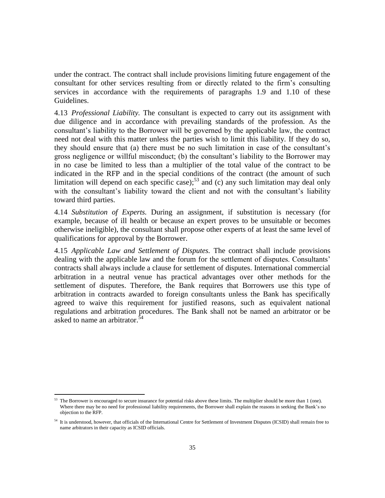under the contract. The contract shall include provisions limiting future engagement of the consultant for other services resulting from or directly related to the firm's consulting services in accordance with the requirements of paragraphs 1.9 and 1.10 of these Guidelines.

4.13 *Professional Liability.* The consultant is expected to carry out its assignment with due diligence and in accordance with prevailing standards of the profession. As the consultant's liability to the Borrower will be governed by the applicable law, the contract need not deal with this matter unless the parties wish to limit this liability. If they do so, they should ensure that (a) there must be no such limitation in case of the consultant's gross negligence or willful misconduct; (b) the consultant's liability to the Borrower may in no case be limited to less than a multiplier of the total value of the contract to be indicated in the RFP and in the special conditions of the contract (the amount of such limitation will depend on each specific case); $53$  and (c) any such limitation may deal only with the consultant's liability toward the client and not with the consultant's liability toward third parties.

4.14 *Substitution of Experts.* During an assignment, if substitution is necessary (for example, because of ill health or because an expert proves to be unsuitable or becomes otherwise ineligible), the consultant shall propose other experts of at least the same level of qualifications for approval by the Borrower.

4.15 *Applicable Law and Settlement of Disputes.* The contract shall include provisions dealing with the applicable law and the forum for the settlement of disputes. Consultants' contracts shall always include a clause for settlement of disputes. International commercial arbitration in a neutral venue has practical advantages over other methods for the settlement of disputes. Therefore, the Bank requires that Borrowers use this type of arbitration in contracts awarded to foreign consultants unless the Bank has specifically agreed to waive this requirement for justified reasons, such as equivalent national regulations and arbitration procedures. The Bank shall not be named an arbitrator or be asked to name an arbitrator.<sup>54</sup>

<sup>&</sup>lt;sup>53</sup> The Borrower is encouraged to secure insurance for potential risks above these limits. The multiplier should be more than 1 (one). Where there may be no need for professional liability requirements, the Borrower shall explain the reasons in seeking the Bank's no objection to the RFP.

<sup>54</sup> It is understood, however, that officials of the International Centre for Settlement of Investment Disputes (ICSID) shall remain free to name arbitrators in their capacity as ICSID officials.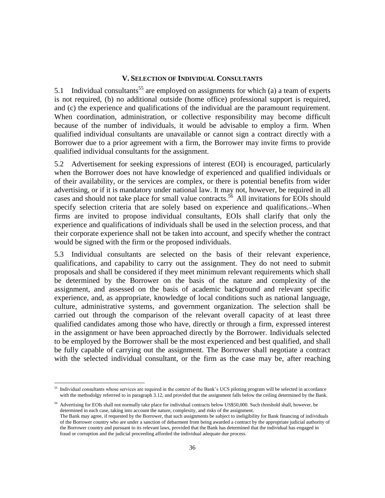#### **V. SELECTION OF INDIVIDUAL CONSULTANTS**

<span id="page-40-0"></span>5.1 Individual consultants<sup>55</sup> are employed on assignments for which (a) a team of experts is not required, (b) no additional outside (home office) professional support is required, and (c) the experience and qualifications of the individual are the paramount requirement. When coordination, administration, or collective responsibility may become difficult because of the number of individuals, it would be advisable to employ a firm. When qualified individual consultants are unavailable or cannot sign a contract directly with a Borrower due to a prior agreement with a firm, the Borrower may invite firms to provide qualified individual consultants for the assignment.

5.2 Advertisement for seeking expressions of interest (EOI) is encouraged, particularly when the Borrower does not have knowledge of experienced and qualified individuals or of their availability, or the services are complex, or there is potential benefits from wider advertising, or if it is mandatory under national law. It may not, however, be required in all cases and should not take place for small value contracts.<sup>56</sup> All invitations for EOIs should specify selection criteria that are solely based on experience and qualifications. When firms are invited to propose individual consultants, EOIs shall clarify that only the experience and qualifications of individuals shall be used in the selection process, and that their corporate experience shall not be taken into account, and specify whether the contract would be signed with the firm or the proposed individuals.

5.3 Individual consultants are selected on the basis of their relevant experience, qualifications, and capability to carry out the assignment. They do not need to submit proposals and shall be considered if they meet minimum relevant requirements which shall be determined by the Borrower on the basis of the nature and complexity of the assignment, and assessed on the basis of academic background and relevant specific experience, and, as appropriate, knowledge of local conditions such as national language, culture, administrative systems, and government organization. The selection shall be carried out through the comparison of the relevant overall capacity of at least three qualified candidates among those who have, directly or through a firm, expressed interest in the assignment or have been approached directly by the Borrower. Individuals selected to be employed by the Borrower shall be the most experienced and best qualified, and shall be fully capable of carrying out the assignment. The Borrower shall negotiate a contract with the selected individual consultant, or the firm as the case may be, after reaching

<sup>&</sup>lt;sup>55</sup> Individual consultants whose services are required in the context of the Bank's UCS piloting program will be selected in accordance with the methodolgy referrred to in paragraph 3.12, and provided that the assignment falls below the ceiling determined by the Bank.

<sup>&</sup>lt;sup>56</sup> Advertising for EOIs shall not normally take place for individual contracts below US\$50,000. Such threshold shall, however, be determined in each case, taking into account the nature, complexity, and risks of the assignment. The Bank may agree, if requested by the Borrower, that such assignments be subject to ineligibility for Bank financing of individuals of the Borrower country who are under a sanction of debarment from being awarded a contract by the appropriate judicial authority of the Borrower country and pursuant to its relevant laws, provided that the Bank has determined that the individual has engaged in fraud or corruption and the judicial proceeding afforded the individual adequate due process.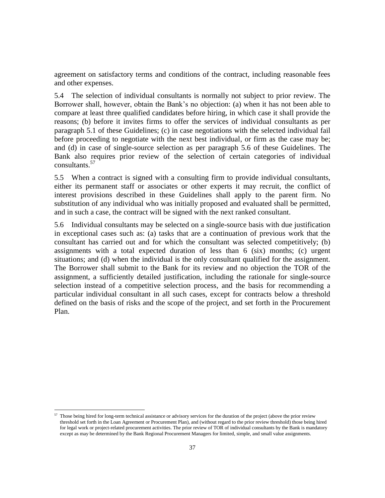agreement on satisfactory terms and conditions of the contract, including reasonable fees and other expenses.

5.4 The selection of individual consultants is normally not subject to prior review. The Borrower shall, however, obtain the Bank's no objection: (a) when it has not been able to compare at least three qualified candidates before hiring, in which case it shall provide the reasons; (b) before it invites firms to offer the services of individual consultants as per paragraph 5.1 of these Guidelines; (c) in case negotiations with the selected individual fail before proceeding to negotiate with the next best individual, or firm as the case may be; and (d) in case of single-source selection as per paragraph 5.6 of these Guidelines. The Bank also requires prior review of the selection of certain categories of individual consultants. 57

5.5 When a contract is signed with a consulting firm to provide individual consultants, either its permanent staff or associates or other experts it may recruit, the conflict of interest provisions described in these Guidelines shall apply to the parent firm. No substitution of any individual who was initially proposed and evaluated shall be permitted, and in such a case, the contract will be signed with the next ranked consultant.

5.6 Individual consultants may be selected on a single-source basis with due justification in exceptional cases such as: (a) tasks that are a continuation of previous work that the consultant has carried out and for which the consultant was selected competitively; (b) assignments with a total expected duration of less than 6 (six) months; (c) urgent situations; and (d) when the individual is the only consultant qualified for the assignment. The Borrower shall submit to the Bank for its review and no objection the TOR of the assignment, a sufficiently detailed justification, including the rationale for single-source selection instead of a competitive selection process, and the basis for recommending a particular individual consultant in all such cases, except for contracts below a threshold defined on the basis of risks and the scope of the project, and set forth in the Procurement Plan.

<sup>&</sup>lt;sup>57</sup> Those being hired for long-term technical assistance or advisory services for the duration of the project (above the prior review threshold set forth in the Loan Agreement or Procurement Plan), and (without regard to the prior review threshold) those being hired for legal work or project-related procurement activities. The prior review of TOR of individual consultants by the Bank is mandatory except as may be determined by the Bank Regional Procurement Managers for limited, simple, and small value assignments.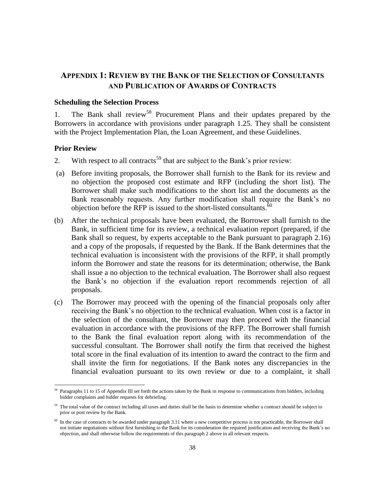## <span id="page-42-0"></span>**APPENDIX 1: REVIEW BY THE BANK OF THE SELECTION OF CONSULTANTS AND PUBLICATION OF AWARDS OF CONTRACTS**

#### <span id="page-42-1"></span>**Scheduling the Selection Process**

1. The Bank shall review<sup>58</sup> Procurement Plans and their updates prepared by the Borrowers in accordance with provisions under paragraph 1.25. They shall be consistent with the Project Implementation Plan, the Loan Agreement, and these Guidelines.

#### <span id="page-42-2"></span>**Prior Review**

- 2. With respect to all contracts<sup>59</sup> that are subject to the Bank's prior review:
- (a) Before inviting proposals, the Borrower shall furnish to the Bank for its review and no objection the proposed cost estimate and RFP (including the short list). The Borrower shall make such modifications to the short list and the documents as the Bank reasonably requests. Any further modification shall require the Bank's no objection before the RFP is issued to the short-listed consultants.  $\delta$ <sup>0</sup>
- (b) After the technical proposals have been evaluated, the Borrower shall furnish to the Bank, in sufficient time for its review, a technical evaluation report (prepared, if the Bank shall so request, by experts acceptable to the Bank pursuant to paragraph 2.16) and a copy of the proposals, if requested by the Bank. If the Bank determines that the technical evaluation is inconsistent with the provisions of the RFP, it shall promptly inform the Borrower and state the reasons for its determination; otherwise, the Bank shall issue a no objection to the technical evaluation. The Borrower shall also request the Bank's no objection if the evaluation report recommends rejection of all proposals.
- (c) The Borrower may proceed with the opening of the financial proposals only after receiving the Bank's no objection to the technical evaluation. When cost is a factor in the selection of the consultant, the Borrower may then proceed with the financial evaluation in accordance with the provisions of the RFP. The Borrower shall furnish to the Bank the final evaluation report along with its recommendation of the successful consultant. The Borrower shall notify the firm that received the highest total score in the final evaluation of its intention to award the contract to the firm and shall invite the firm for negotiations. If the Bank notes any discrepancies in the financial evaluation pursuant to its own review or due to a complaint, it shall

<sup>&</sup>lt;sup>58</sup> Paragraphs 11 to 15 of Appendix III set forth the actions taken by the Bank in response to communications from bidders, including bidder complaints and bidder requests for debriefing.

<sup>&</sup>lt;sup>59</sup> The total value of the contract including all taxes and duties shall be the basis to determine whether a contract should be subject to prior or post review by the Bank.

<sup>&</sup>lt;sup>60</sup> In the case of contracts to be awarded under paragraph 3.11 where a new competitive process is not practicable, the Borrower shall not initiate negotiations without first furnishing to the Bank for its consideration the required justification and receiving the Bank's no objection, and shall otherwise follow the requirements of this paragraph 2 above in all relevant respects.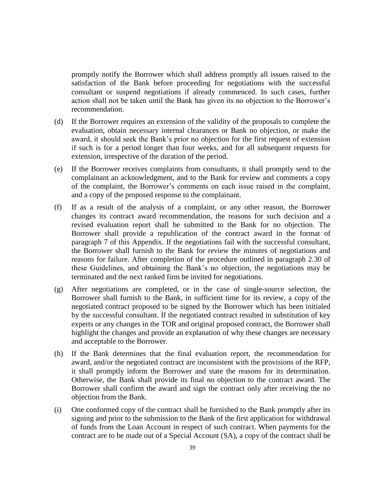promptly notify the Borrower which shall address promptly all issues raised to the satisfaction of the Bank before proceeding for negotiations with the successful consultant or suspend negotiations if already commenced. In such cases, further action shall not be taken until the Bank has given its no objection to the Borrower's recommendation.

- (d) If the Borrower requires an extension of the validity of the proposals to complete the evaluation, obtain necessary internal clearances or Bank no objection, or make the award, it should seek the Bank's prior no objection for the first request of extension if such is for a period longer than four weeks, and for all subsequent requests for extension, irrespective of the duration of the period.
- (e) If the Borrower receives complaints from consultants, it shall promptly send to the complainant an acknowledgment, and to the Bank for review and comments a copy of the complaint, the Borrower's comments on each issue raised in the complaint, and a copy of the proposed response to the complainant.
- (f) If as a result of the analysis of a complaint, or any other reason, the Borrower changes its contract award recommendation, the reasons for such decision and a revised evaluation report shall be submitted to the Bank for no objection. The Borrower shall provide a republication of the contract award in the format of paragraph 7 of this Appendix. If the negotiations fail with the successful consultant, the Borrower shall furnish to the Bank for review the minutes of negotiations and reasons for failure. After completion of the procedure outlined in paragraph 2.30 of these Guidelines, and obtaining the Bank's no objection, the negotiations may be terminated and the next ranked firm be invited for negotiations.
- (g) After negotiations are completed, or in the case of single-source selection, the Borrower shall furnish to the Bank, in sufficient time for its review, a copy of the negotiated contract proposed to be signed by the Borrower which has been initialed by the successful consultant. If the negotiated contract resulted in substitution of key experts or any changes in the TOR and original proposed contract, the Borrower shall highlight the changes and provide an explanation of why these changes are necessary and acceptable to the Borrower.
- (h) If the Bank determines that the final evaluation report, the recommendation for award, and/or the negotiated contract are inconsistent with the provisions of the RFP, it shall promptly inform the Borrower and state the reasons for its determination. Otherwise, the Bank shall provide its final no objection to the contract award. The Borrower shall confirm the award and sign the contract only after receiving the no objection from the Bank.
- (i) One conformed copy of the contract shall be furnished to the Bank promptly after its signing and prior to the submission to the Bank of the first application for withdrawal of funds from the Loan Account in respect of such contract. When payments for the contract are to be made out of a Special Account (SA), a copy of the contract shall be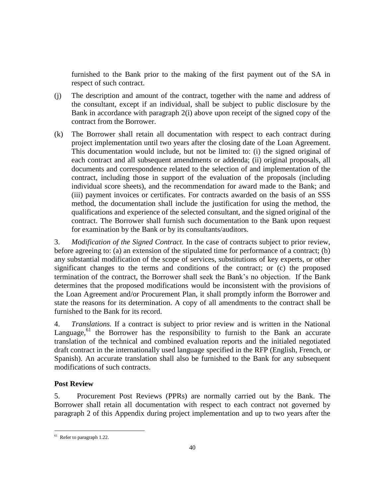furnished to the Bank prior to the making of the first payment out of the SA in respect of such contract.

- (j) The description and amount of the contract, together with the name and address of the consultant, except if an individual, shall be subject to public disclosure by the Bank in accordance with paragraph 2(i) above upon receipt of the signed copy of the contract from the Borrower.
- (k) The Borrower shall retain all documentation with respect to each contract during project implementation until two years after the closing date of the Loan Agreement. This documentation would include, but not be limited to: (i) the signed original of each contract and all subsequent amendments or addenda; (ii) original proposals, all documents and correspondence related to the selection of and implementation of the contract, including those in support of the evaluation of the proposals (including individual score sheets), and the recommendation for award made to the Bank; and (iii) payment invoices or certificates. For contracts awarded on the basis of an SSS method, the documentation shall include the justification for using the method, the qualifications and experience of the selected consultant, and the signed original of the contract. The Borrower shall furnish such documentation to the Bank upon request for examination by the Bank or by its consultants/auditors.

3. *Modification of the Signed Contract.* In the case of contracts subject to prior review, before agreeing to: (a) an extension of the stipulated time for performance of a contract; (b) any substantial modification of the scope of services, substitutions of key experts, or other significant changes to the terms and conditions of the contract; or (c) the proposed termination of the contract, the Borrower shall seek the Bank's no objection. If the Bank determines that the proposed modifications would be inconsistent with the provisions of the Loan Agreement and/or Procurement Plan, it shall promptly inform the Borrower and state the reasons for its determination. A copy of all amendments to the contract shall be furnished to the Bank for its record.

4. *Translations.* If a contract is subject to prior review and is written in the National Language,<sup>61</sup> the Borrower has the responsibility to furnish to the Bank an accurate translation of the technical and combined evaluation reports and the initialed negotiated draft contract in the internationally used language specified in the RFP (English, French, or Spanish). An accurate translation shall also be furnished to the Bank for any subsequent modifications of such contracts.

### <span id="page-44-0"></span>**Post Review**

5. Procurement Post Reviews (PPRs) are normally carried out by the Bank. The Borrower shall retain all documentation with respect to each contract not governed by paragraph 2 of this Appendix during project implementation and up to two years after the

 $\overline{a}$ <sup>61</sup> Refer to paragraph 1.22.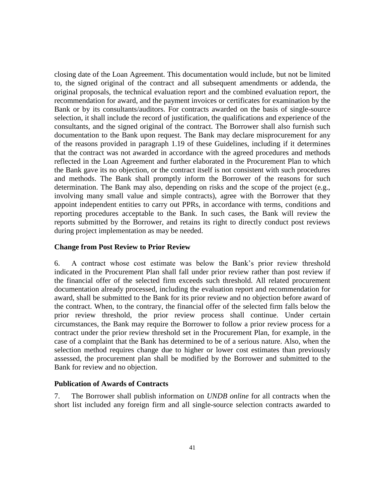closing date of the Loan Agreement. This documentation would include, but not be limited to, the signed original of the contract and all subsequent amendments or addenda, the original proposals, the technical evaluation report and the combined evaluation report, the recommendation for award, and the payment invoices or certificates for examination by the Bank or by its consultants/auditors. For contracts awarded on the basis of single-source selection, it shall include the record of justification, the qualifications and experience of the consultants, and the signed original of the contract. The Borrower shall also furnish such documentation to the Bank upon request. The Bank may declare misprocurement for any of the reasons provided in paragraph 1.19 of these Guidelines, including if it determines that the contract was not awarded in accordance with the agreed procedures and methods reflected in the Loan Agreement and further elaborated in the Procurement Plan to which the Bank gave its no objection, or the contract itself is not consistent with such procedures and methods. The Bank shall promptly inform the Borrower of the reasons for such determination. The Bank may also, depending on risks and the scope of the project (e.g., involving many small value and simple contracts), agree with the Borrower that they appoint independent entities to carry out PPRs, in accordance with terms, conditions and reporting procedures acceptable to the Bank. In such cases, the Bank will review the reports submitted by the Borrower, and retains its right to directly conduct post reviews during project implementation as may be needed.

#### <span id="page-45-0"></span>**Change from Post Review to Prior Review**

6. A contract whose cost estimate was below the Bank's prior review threshold indicated in the Procurement Plan shall fall under prior review rather than post review if the financial offer of the selected firm exceeds such threshold. All related procurement documentation already processed, including the evaluation report and recommendation for award, shall be submitted to the Bank for its prior review and no objection before award of the contract. When, to the contrary, the financial offer of the selected firm falls below the prior review threshold, the prior review process shall continue. Under certain circumstances, the Bank may require the Borrower to follow a prior review process for a contract under the prior review threshold set in the Procurement Plan, for example, in the case of a complaint that the Bank has determined to be of a serious nature. Also, when the selection method requires change due to higher or lower cost estimates than previously assessed, the procurement plan shall be modified by the Borrower and submitted to the Bank for review and no objection.

#### <span id="page-45-1"></span>**Publication of Awards of Contracts**

7. The Borrower shall publish information on *UNDB online* for all contracts when the short list included any foreign firm and all single-source selection contracts awarded to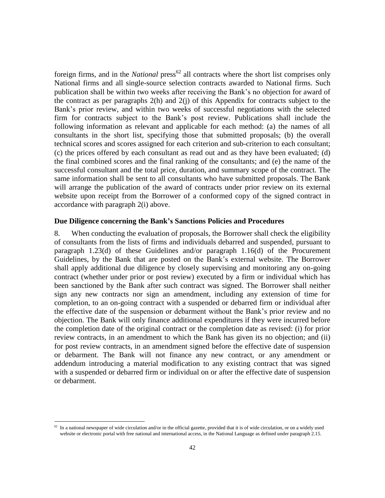foreign firms, and in the *National* press<sup>62</sup> all contracts where the short list comprises only National firms and all single-source selection contracts awarded to National firms. Such publication shall be within two weeks after receiving the Bank's no objection for award of the contract as per paragraphs 2(h) and 2(j) of this Appendix for contracts subject to the Bank's prior review, and within two weeks of successful negotiations with the selected firm for contracts subject to the Bank's post review. Publications shall include the following information as relevant and applicable for each method: (a) the names of all consultants in the short list, specifying those that submitted proposals; (b) the overall technical scores and scores assigned for each criterion and sub-criterion to each consultant; (c) the prices offered by each consultant as read out and as they have been evaluated; (d) the final combined scores and the final ranking of the consultants; and (e) the name of the successful consultant and the total price, duration, and summary scope of the contract. The same information shall be sent to all consultants who have submitted proposals. The Bank will arrange the publication of the award of contracts under prior review on its external website upon receipt from the Borrower of a conformed copy of the signed contract in accordance with paragraph 2(i) above.

#### <span id="page-46-0"></span>**Due Diligence concerning the Bank's Sanctions Policies and Procedures**

8. When conducting the evaluation of proposals, the Borrower shall check the eligibility of consultants from the lists of firms and individuals debarred and suspended, pursuant to paragraph 1.23(d) of these Guidelines and/or paragraph 1.16(d) of the Procurement Guidelines, by the Bank that are posted on the Bank's external website. The Borrower shall apply additional due diligence by closely supervising and monitoring any on-going contract (whether under prior or post review) executed by a firm or individual which has been sanctioned by the Bank after such contract was signed. The Borrower shall neither sign any new contracts nor sign an amendment, including any extension of time for completion, to an on-going contract with a suspended or debarred firm or individual after the effective date of the suspension or debarment without the Bank's prior review and no objection. The Bank will only finance additional expenditures if they were incurred before the completion date of the original contract or the completion date as revised: (i) for prior review contracts, in an amendment to which the Bank has given its no objection; and (ii) for post review contracts, in an amendment signed before the effective date of suspension or debarment. The Bank will not finance any new contract, or any amendment or addendum introducing a material modification to any existing contract that was signed with a suspended or debarred firm or individual on or after the effective date of suspension or debarment.

 $62$  In a national newspaper of wide circulation and/or in the official gazette, provided that it is of wide circulation, or on a widely used website or electronic portal with free national and international access, in the National Language as defined under paragraph 2.15.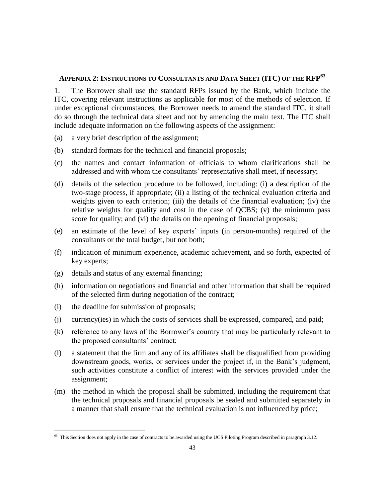## <span id="page-47-0"></span>**APPENDIX 2: INSTRUCTIONS TO CONSULTANTS AND DATA SHEET (ITC) OF THE RFP<sup>63</sup>**

1. The Borrower shall use the standard RFPs issued by the Bank, which include the ITC, covering relevant instructions as applicable for most of the methods of selection. If under exceptional circumstances, the Borrower needs to amend the standard ITC, it shall do so through the technical data sheet and not by amending the main text. The ITC shall include adequate information on the following aspects of the assignment:

- (a) a very brief description of the assignment;
- (b) standard formats for the technical and financial proposals;
- (c) the names and contact information of officials to whom clarifications shall be addressed and with whom the consultants' representative shall meet, if necessary;
- (d) details of the selection procedure to be followed, including: (i) a description of the two-stage process, if appropriate; (ii) a listing of the technical evaluation criteria and weights given to each criterion; (iii) the details of the financial evaluation; (iv) the relative weights for quality and cost in the case of QCBS; (v) the minimum pass score for quality; and (vi) the details on the opening of financial proposals;
- (e) an estimate of the level of key experts' inputs (in person-months) required of the consultants or the total budget, but not both;
- (f) indication of minimum experience, academic achievement, and so forth, expected of key experts;
- (g) details and status of any external financing;
- (h) information on negotiations and financial and other information that shall be required of the selected firm during negotiation of the contract;
- (i) the deadline for submission of proposals;

- (j) currency(ies) in which the costs of services shall be expressed, compared, and paid;
- (k) reference to any laws of the Borrower's country that may be particularly relevant to the proposed consultants' contract;
- (l) a statement that the firm and any of its affiliates shall be disqualified from providing downstream goods, works, or services under the project if, in the Bank's judgment, such activities constitute a conflict of interest with the services provided under the assignment;
- (m) the method in which the proposal shall be submitted, including the requirement that the technical proposals and financial proposals be sealed and submitted separately in a manner that shall ensure that the technical evaluation is not influenced by price;

<sup>&</sup>lt;sup>63</sup> This Section does not apply in the case of contracts to be awarded using the UCS Piloting Program described in paragraph 3.12.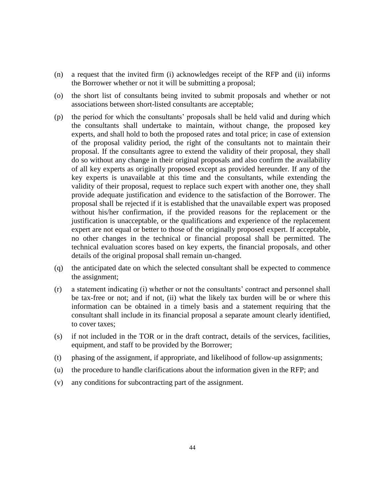- (n) a request that the invited firm (i) acknowledges receipt of the RFP and (ii) informs the Borrower whether or not it will be submitting a proposal;
- (o) the short list of consultants being invited to submit proposals and whether or not associations between short-listed consultants are acceptable;
- (p) the period for which the consultants' proposals shall be held valid and during which the consultants shall undertake to maintain, without change, the proposed key experts, and shall hold to both the proposed rates and total price; in case of extension of the proposal validity period, the right of the consultants not to maintain their proposal. If the consultants agree to extend the validity of their proposal, they shall do so without any change in their original proposals and also confirm the availability of all key experts as originally proposed except as provided hereunder. If any of the key experts is unavailable at this time and the consultants, while extending the validity of their proposal, request to replace such expert with another one, they shall provide adequate justification and evidence to the satisfaction of the Borrower. The proposal shall be rejected if it is established that the unavailable expert was proposed without his/her confirmation, if the provided reasons for the replacement or the justification is unacceptable, or the qualifications and experience of the replacement expert are not equal or better to those of the originally proposed expert. If acceptable, no other changes in the technical or financial proposal shall be permitted. The technical evaluation scores based on key experts, the financial proposals, and other details of the original proposal shall remain un-changed.
- (q) the anticipated date on which the selected consultant shall be expected to commence the assignment;
- (r) a statement indicating (i) whether or not the consultants' contract and personnel shall be tax-free or not; and if not, (ii) what the likely tax burden will be or where this information can be obtained in a timely basis and a statement requiring that the consultant shall include in its financial proposal a separate amount clearly identified, to cover taxes;
- (s) if not included in the TOR or in the draft contract, details of the services, facilities, equipment, and staff to be provided by the Borrower;
- (t) phasing of the assignment, if appropriate, and likelihood of follow-up assignments;
- (u) the procedure to handle clarifications about the information given in the RFP; and
- (v) any conditions for subcontracting part of the assignment.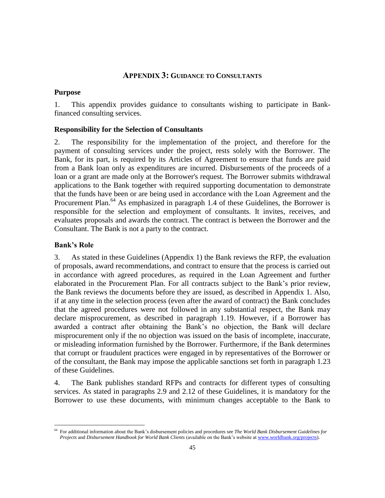#### **APPENDIX 3: GUIDANCE TO CONSULTANTS**

#### <span id="page-49-1"></span><span id="page-49-0"></span>**Purpose**

1. This appendix provides guidance to consultants wishing to participate in Bankfinanced consulting services.

#### <span id="page-49-2"></span>**Responsibility for the Selection of Consultants**

2. The responsibility for the implementation of the project, and therefore for the payment of consulting services under the project, rests solely with the Borrower. The Bank, for its part, is required by its Articles of Agreement to ensure that funds are paid from a Bank loan only as expenditures are incurred. Disbursements of the proceeds of a loan or a grant are made only at the Borrower's request. The Borrower submits withdrawal applications to the Bank together with required supporting documentation to demonstrate that the funds have been or are being used in accordance with the Loan Agreement and the Procurement Plan.<sup>64</sup> As emphasized in paragraph 1.4 of these Guidelines, the Borrower is responsible for the selection and employment of consultants. It invites, receives, and evaluates proposals and awards the contract. The contract is between the Borrower and the Consultant. The Bank is not a party to the contract.

#### <span id="page-49-3"></span>**Bank's Role**

 $\overline{a}$ 

3. As stated in these Guidelines (Appendix 1) the Bank reviews the RFP, the evaluation of proposals, award recommendations, and contract to ensure that the process is carried out in accordance with agreed procedures, as required in the Loan Agreement and further elaborated in the Procurement Plan. For all contracts subject to the Bank's prior review, the Bank reviews the documents before they are issued, as described in Appendix 1. Also, if at any time in the selection process (even after the award of contract) the Bank concludes that the agreed procedures were not followed in any substantial respect, the Bank may declare misprocurement, as described in paragraph 1.19. However, if a Borrower has awarded a contract after obtaining the Bank's no objection, the Bank will declare misprocurement only if the no objection was issued on the basis of incomplete, inaccurate, or misleading information furnished by the Borrower. Furthermore, if the Bank determines that corrupt or fraudulent practices were engaged in by representatives of the Borrower or of the consultant, the Bank may impose the applicable sanctions set forth in paragraph 1.23 of these Guidelines.

4. The Bank publishes standard RFPs and contracts for different types of consulting services. As stated in paragraphs 2.9 and 2.12 of these Guidelines, it is mandatory for the Borrower to use these documents, with minimum changes acceptable to the Bank to

<sup>64</sup> For additional information about the Bank's disbursement policies and procedures see *The World Bank Disbursement Guidelines for Projects* and *Disbursement Handbook for World Bank Clients* (available on the Bank's website a[t www.worldbank.org/projects\)](http://www.worldbank.org/projects).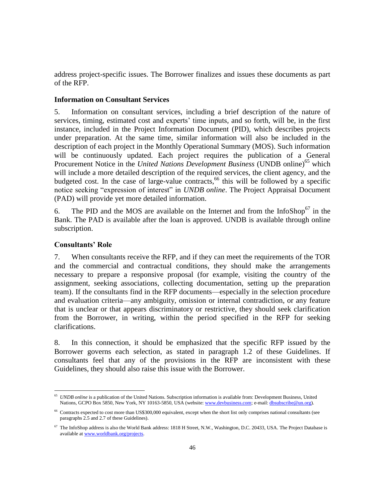address project-specific issues. The Borrower finalizes and issues these documents as part of the RFP.

#### <span id="page-50-0"></span>**Information on Consultant Services**

5. Information on consultant services, including a brief description of the nature of services, timing, estimated cost and experts' time inputs, and so forth, will be, in the first instance, included in the Project Information Document (PID), which describes projects under preparation. At the same time, similar information will also be included in the description of each project in the Monthly Operational Summary (MOS). Such information will be continuously updated. Each project requires the publication of a General Procurement Notice in the *United Nations Development Business* (UNDB online)<sup>65</sup> which will include a more detailed description of the required services, the client agency, and the budgeted cost. In the case of large-value contracts, <sup>66</sup> this will be followed by a specific notice seeking "expression of interest" in *UNDB online*. The Project Appraisal Document (PAD) will provide yet more detailed information.

6. The PID and the MOS are available on the Internet and from the InfoShop<sup>67</sup> in the Bank. The PAD is available after the loan is approved. UNDB is available through online subscription.

#### <span id="page-50-1"></span>**Consultants' Role**

 $\overline{a}$ 

7. When consultants receive the RFP, and if they can meet the requirements of the TOR and the commercial and contractual conditions, they should make the arrangements necessary to prepare a responsive proposal (for example, visiting the country of the assignment, seeking associations, collecting documentation, setting up the preparation team). If the consultants find in the RFP documents—especially in the selection procedure and evaluation criteria—any ambiguity, omission or internal contradiction, or any feature that is unclear or that appears discriminatory or restrictive, they should seek clarification from the Borrower, in writing, within the period specified in the RFP for seeking clarifications.

8. In this connection, it should be emphasized that the specific RFP issued by the Borrower governs each selection, as stated in paragraph 1.2 of these Guidelines. If consultants feel that any of the provisions in the RFP are inconsistent with these Guidelines, they should also raise this issue with the Borrower.

<sup>&</sup>lt;sup>65</sup> *UNDB online* is a publication of the United Nations. Subscription information is available from: Development Business, United Nations, GCPO Box 5850, New York, NY 10163-5850, USA (website[: www.devbusiness.com;](http://www.devbusiness.com/) e-mail[: dbsubscribe@un.org\)](mailto:dbsubscribe@un.org).

<sup>&</sup>lt;sup>66</sup> Contracts expected to cost more than US\$300,000 equivalent, except when the short list only comprises national consultants (see paragraphs 2.5 and 2.7 of these Guidelines).

 $67$  The InfoShop address is also the World Bank address: 1818 H Street, N.W., Washington, D.C. 20433, USA. The Project Database is available at [www.worldbank.org/projects.](http://www.worldbank.org/projects)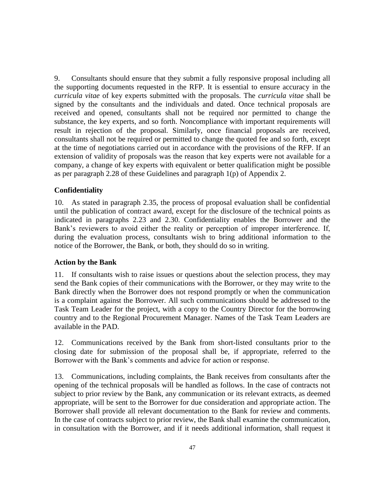9. Consultants should ensure that they submit a fully responsive proposal including all the supporting documents requested in the RFP. It is essential to ensure accuracy in the *curricula vitae* of key experts submitted with the proposals. The *curricula vitae* shall be signed by the consultants and the individuals and dated. Once technical proposals are received and opened, consultants shall not be required nor permitted to change the substance, the key experts, and so forth. Noncompliance with important requirements will result in rejection of the proposal. Similarly, once financial proposals are received, consultants shall not be required or permitted to change the quoted fee and so forth, except at the time of negotiations carried out in accordance with the provisions of the RFP. If an extension of validity of proposals was the reason that key experts were not available for a company, a change of key experts with equivalent or better qualification might be possible as per paragraph 2.28 of these Guidelines and paragraph 1(p) of Appendix 2.

#### <span id="page-51-0"></span>**Confidentiality**

10. As stated in paragraph 2.35, the process of proposal evaluation shall be confidential until the publication of contract award, except for the disclosure of the technical points as indicated in paragraphs 2.23 and 2.30. Confidentiality enables the Borrower and the Bank's reviewers to avoid either the reality or perception of improper interference. If, during the evaluation process, consultants wish to bring additional information to the notice of the Borrower, the Bank, or both, they should do so in writing.

#### <span id="page-51-1"></span>**Action by the Bank**

11. If consultants wish to raise issues or questions about the selection process, they may send the Bank copies of their communications with the Borrower, or they may write to the Bank directly when the Borrower does not respond promptly or when the communication is a complaint against the Borrower. All such communications should be addressed to the Task Team Leader for the project, with a copy to the Country Director for the borrowing country and to the Regional Procurement Manager. Names of the Task Team Leaders are available in the PAD.

12. Communications received by the Bank from short-listed consultants prior to the closing date for submission of the proposal shall be, if appropriate, referred to the Borrower with the Bank's comments and advice for action or response.

13. Communications, including complaints, the Bank receives from consultants after the opening of the technical proposals will be handled as follows. In the case of contracts not subject to prior review by the Bank, any communication or its relevant extracts, as deemed appropriate, will be sent to the Borrower for due consideration and appropriate action. The Borrower shall provide all relevant documentation to the Bank for review and comments. In the case of contracts subject to prior review, the Bank shall examine the communication, in consultation with the Borrower, and if it needs additional information, shall request it